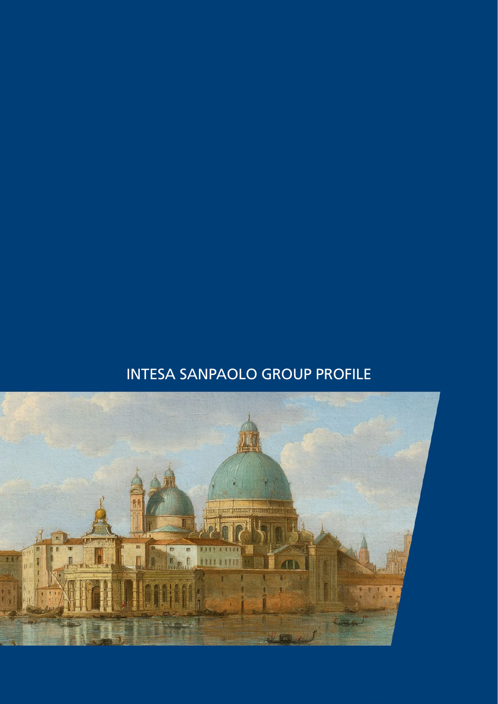# INTESA SANPAOLO GROUP PROFILE

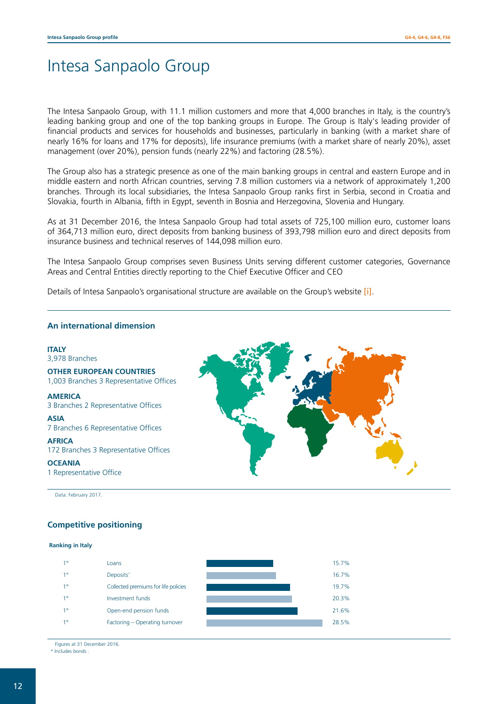# Intesa Sanpaolo Group

The Intesa Sanpaolo Group, with 11.1 million customers and more that 4,000 branches in Italy, is the country's leading banking group and one of the top banking groups in Europe. The Group is Italy's leading provider of financial products and services for households and businesses, particularly in banking (with a market share of nearly 16% for loans and 17% for deposits), life insurance premiums (with a market share of nearly 20%), asset management (over 20%), pension funds (nearly 22%) and factoring (28.5%).

The Group also has a strategic presence as one of the main banking groups in central and eastern Europe and in middle eastern and north African countries, serving 7.8 million customers via a network of approximately 1,200 branches. Through its local subsidiaries, the Intesa Sanpaolo Group ranks first in Serbia, second in Croatia and Slovakia, fourth in Albania, fifth in Egypt, seventh in Bosnia and Herzegovina, Slovenia and Hungary.

As at 31 December 2016, the Intesa Sanpaolo Group had total assets of 725,100 million euro, customer loans of 364,713 million euro, direct deposits from banking business of 393,798 million euro and direct deposits from insurance business and technical reserves of 144,098 million euro.

The Intesa Sanpaolo Group comprises seven Business Units serving different customer categories, Governance Areas and Central Entities directly reporting to the Chief Executive Officer and CEO

Details of Intesa Sanpaolo's organisational structure are available on the Group's website [\[i\]](http://www.group.intesasanpaolo.com/scriptIsir0/si09/chi_siamo/eng_wp_chi_siamo.jsp).

#### **An international dimension**

#### **ITALY** 3,978 Branches

**ASIA**

**OTHER EUROPEAN COUNTRIES** 1,003 Branches 3 Representative Offices

**AMERICA** 3 Branches 2 Representative Offices

7 Branches 6 Representative Offices

**AFRICA** 172 Branches 3 Representative Offices

**OCEANIA**

1 Representative Office

Data: February 2017.

#### **Competitive positioning**

#### **Ranking in Italy**

| $1^{\circ}$ | Loans                                | 15.7% |
|-------------|--------------------------------------|-------|
| $1^{\circ}$ | Deposits*                            | 16.7% |
| $1^{\circ}$ | Collected premiums for life policies | 19.7% |
| $1^{\circ}$ | Investment funds                     | 20.3% |
| $1^{\circ}$ | Open-end pension funds               | 21.6% |
| $1^{\circ}$ | Factoring - Operating turnover       | 28.5% |

Figures at 31 December 2016.

Includes bonds

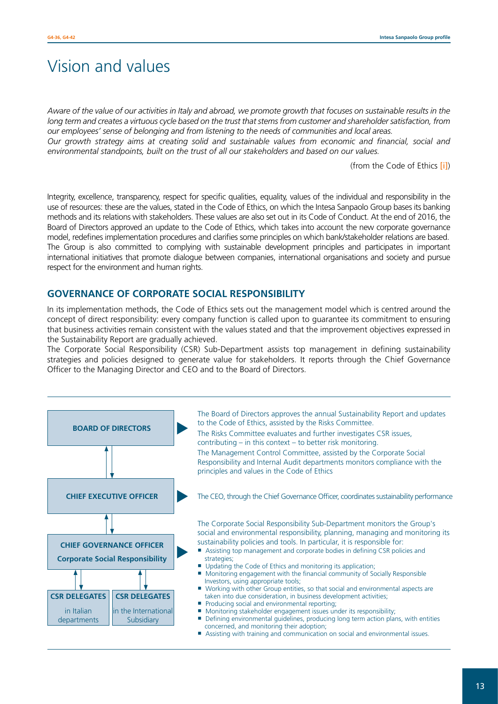# Vision and values

*Aware of the value of our activities in Italy and abroad, we promote growth that focuses on sustainable results in the long term and creates a virtuous cycle based on the trust that stems from customer and shareholder satisfaction, from our employees' sense of belonging and from listening to the needs of communities and local areas.*

*Our growth strategy aims at creating solid and sustainable values from economic and financial, social and environmental standpoints, built on the trust of all our stakeholders and based on our values.*

(from the Code of Ethics [\[i\]](http://www.group.intesasanpaolo.com/scriptIsir0/si09/sostenibilita/eng_codice_etico.jsp))

Integrity, excellence, transparency, respect for specific qualities, equality, values of the individual and responsibility in the use of resources: these are the values, stated in the Code of Ethics, on which the Intesa Sanpaolo Group bases its banking methods and its relations with stakeholders. These values are also set out in its Code of Conduct. At the end of 2016, the Board of Directors approved an update to the Code of Ethics, which takes into account the new corporate governance model, redefines implementation procedures and clarifies some principles on which bank/stakeholder relations are based. The Group is also committed to complying with sustainable development principles and participates in important international initiatives that promote dialogue between companies, international organisations and society and pursue respect for the environment and human rights.

### **GOVERNANCE OF CORPORATE SOCIAL RESPONSIBILITY**

In its implementation methods, the Code of Ethics sets out the management model which is centred around the concept of direct responsibility: every company function is called upon to guarantee its commitment to ensuring that business activities remain consistent with the values stated and that the improvement objectives expressed in the Sustainability Report are gradually achieved.

The Corporate Social Responsibility (CSR) Sub-Department assists top management in defining sustainability strategies and policies designed to generate value for stakeholders. It reports through the Chief Governance Officer to the Managing Director and CEO and to the Board of Directors.

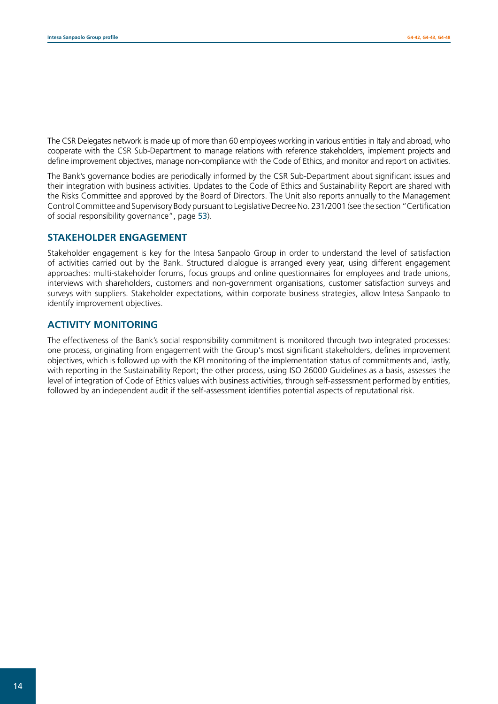The CSR Delegates network is made up of more than 60 employees working in various entities in Italy and abroad, who cooperate with the CSR Sub-Department to manage relations with reference stakeholders, implement projects and define improvement objectives, manage non-compliance with the Code of Ethics, and monitor and report on activities.

The Bank's governance bodies are periodically informed by the CSR Sub-Department about significant issues and their integration with business activities. Updates to the Code of Ethics and Sustainability Report are shared with the Risks Committee and approved by the Board of Directors. The Unit also reports annually to the Management Control Committee and Supervisory Body pursuant to Legislative Decree No. 231/2001 (see the section "Certification of social responsibility governance", page 53).

### **STAKEHOLDER ENGAGEMENT**

Stakeholder engagement is key for the Intesa Sanpaolo Group in order to understand the level of satisfaction of activities carried out by the Bank. Structured dialogue is arranged every year, using different engagement approaches: multi-stakeholder forums, focus groups and online questionnaires for employees and trade unions, interviews with shareholders, customers and non-government organisations, customer satisfaction surveys and surveys with suppliers. Stakeholder expectations, within corporate business strategies, allow Intesa Sanpaolo to identify improvement objectives.

### **ACTIVITY MONITORING**

The effectiveness of the Bank's social responsibility commitment is monitored through two integrated processes: one process, originating from engagement with the Group's most significant stakeholders, defines improvement objectives, which is followed up with the KPI monitoring of the implementation status of commitments and, lastly, with reporting in the Sustainability Report; the other process, using ISO 26000 Guidelines as a basis, assesses the level of integration of Code of Ethics values with business activities, through self-assessment performed by entities, followed by an independent audit if the self-assessment identifies potential aspects of reputational risk.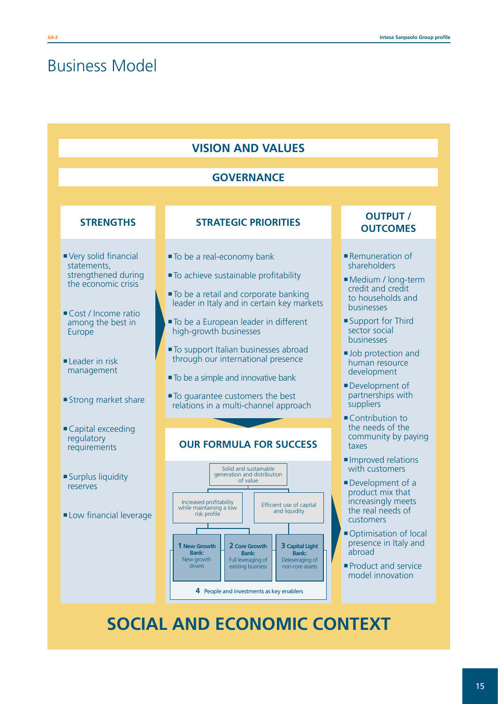# Business Model

| <b>VISION AND VALUES</b>                                                                                                                                                                       |                                                                                                                                                                                                                                                                                                                                                                                                                                                             |                                                                                                                                                                                                                                                                                       |  |  |  |
|------------------------------------------------------------------------------------------------------------------------------------------------------------------------------------------------|-------------------------------------------------------------------------------------------------------------------------------------------------------------------------------------------------------------------------------------------------------------------------------------------------------------------------------------------------------------------------------------------------------------------------------------------------------------|---------------------------------------------------------------------------------------------------------------------------------------------------------------------------------------------------------------------------------------------------------------------------------------|--|--|--|
|                                                                                                                                                                                                | <b>GOVERNANCE</b>                                                                                                                                                                                                                                                                                                                                                                                                                                           |                                                                                                                                                                                                                                                                                       |  |  |  |
| <b>STRENGTHS</b>                                                                                                                                                                               | <b>STRATEGIC PRIORITIES</b>                                                                                                                                                                                                                                                                                                                                                                                                                                 | <b>OUTPUT /</b><br><b>OUTCOMES</b>                                                                                                                                                                                                                                                    |  |  |  |
| Very solid financial<br>statements,<br>strengthened during<br>the economic crisis<br>Cost / Income ratio<br>among the best in<br>Europe<br>Leader in risk<br>management<br>Strong market share | ■ To be a real-economy bank<br>To achieve sustainable profitability<br>■ To be a retail and corporate banking<br>leader in Italy and in certain key markets<br>■ To be a European leader in different<br>high-growth businesses<br>To support Italian businesses abroad<br>through our international presence<br>■ To be a simple and innovative bank<br>■ To guarantee customers the best<br>relations in a multi-channel approach                         | Remuneration of<br>shareholders<br>Medium / long-term<br>credit and credit<br>to households and<br>businesses<br>■ Support for Third<br>sector social<br><b>businesses</b><br>Job protection and<br>human resource<br>development<br>Development of<br>partnerships with<br>suppliers |  |  |  |
| Capital exceeding<br>regulatory<br>requirements                                                                                                                                                | <b>OUR FORMULA FOR SUCCESS</b>                                                                                                                                                                                                                                                                                                                                                                                                                              | Contribution to<br>the needs of the<br>community by paying<br>taxes<br>Improved relations                                                                                                                                                                                             |  |  |  |
| Surplus liquidity<br>reserves<br>Low financial leverage                                                                                                                                        | Solid and sustainable<br>generation and distribution<br>of value<br>Increased profitability<br>Efficient use of capital<br>while maintaining a low<br>and liquidity<br>risk profile<br><b>1 New Growth</b><br>2 Core Growth<br><b>3 Capital Light</b><br><b>Bank:</b><br><b>Bank:</b><br><b>Bank:</b><br>New growth<br>Full leveraging of<br>Deleveraging of<br>drivers<br>existing business<br>non-core assets<br>4 People and investments as key enablers | with customers<br>Development of a<br>product mix that<br>increasingly meets<br>the real needs of<br>customers<br>Optimisation of local<br>presence in Italy and<br>abroad<br>Product and service<br>model innovation                                                                 |  |  |  |

# **SOCIAL AND ECONOMIC CONTEXT**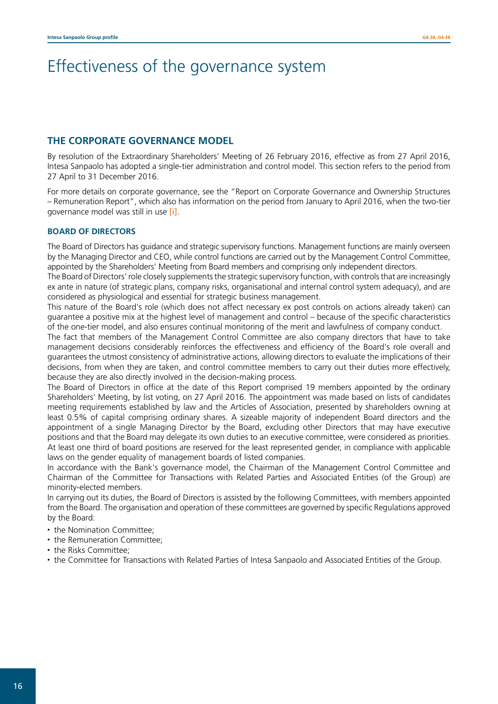# Effectiveness of the governance system

### **THE CORPORATE GOVERNANCE MODEL**

By resolution of the Extraordinary Shareholders' Meeting of 26 February 2016, effective as from 27 April 2016, Intesa Sanpaolo has adopted a single-tier administration and control model. This section refers to the period from 27 April to 31 December 2016.

For more details on corporate governance, see the "Report on Corporate Governance and Ownership Structures – Remuneration Report", which also has information on the period from January to April 2016, when the two-tier governance model was still in use [\[i\]](http://www.group.intesasanpaolo.com/scriptIsir0/si09/governance/eng_documenti_societari.jsp?tabId=2016&tabParams=eyd0YWJJZCc6JzIwMTYnfQ__).

#### **BOARD OF DIRECTORS**

The Board of Directors has guidance and strategic supervisory functions. Management functions are mainly overseen by the Managing Director and CEO, while control functions are carried out by the Management Control Committee, appointed by the Shareholders' Meeting from Board members and comprising only independent directors.

The Board of Directors' role closely supplements the strategic supervisory function, with controls that are increasingly ex ante in nature (of strategic plans, company risks, organisational and internal control system adequacy), and are considered as physiological and essential for strategic business management.

This nature of the Board's role (which does not affect necessary ex post controls on actions already taken) can guarantee a positive mix at the highest level of management and control – because of the specific characteristics of the one-tier model, and also ensures continual monitoring of the merit and lawfulness of company conduct.

The fact that members of the Management Control Committee are also company directors that have to take management decisions considerably reinforces the effectiveness and efficiency of the Board's role overall and guarantees the utmost consistency of administrative actions, allowing directors to evaluate the implications of their decisions, from when they are taken, and control committee members to carry out their duties more effectively, because they are also directly involved in the decision-making process.

The Board of Directors in office at the date of this Report comprised 19 members appointed by the ordinary Shareholders' Meeting, by list voting, on 27 April 2016. The appointment was made based on lists of candidates meeting requirements established by law and the Articles of Association, presented by shareholders owning at least 0.5% of capital comprising ordinary shares. A sizeable majority of independent Board directors and the appointment of a single Managing Director by the Board, excluding other Directors that may have executive positions and that the Board may delegate its own duties to an executive committee, were considered as priorities. At least one third of board positions are reserved for the least represented gender, in compliance with applicable laws on the gender equality of management boards of listed companies.

In accordance with the Bank's governance model, the Chairman of the Management Control Committee and Chairman of the Committee for Transactions with Related Parties and Associated Entities (of the Group) are minority-elected members.

In carrying out its duties, the Board of Directors is assisted by the following Committees, with members appointed from the Board. The organisation and operation of these committees are governed by specific Regulations approved by the Board:

- the Nomination Committee;
- the Remuneration Committee:
- the Risks Committee;
- the Committee for Transactions with Related Parties of Intesa Sanpaolo and Associated Entities of the Group.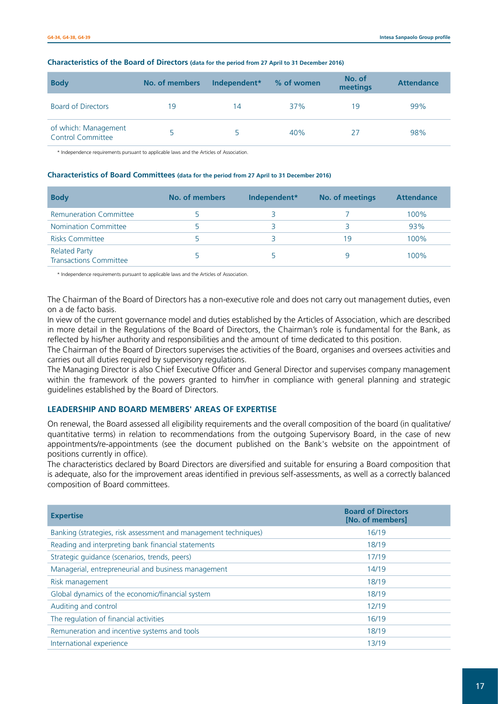| <b>Body</b>                                      | No. of members | Independent* | % of women | No. of<br>meetings | <b>Attendance</b> |
|--------------------------------------------------|----------------|--------------|------------|--------------------|-------------------|
| <b>Board of Directors</b>                        | 19             | 14           | 37%        | 19                 | 99%               |
| of which: Management<br><b>Control Committee</b> |                |              | 40%        |                    | 98%               |

#### **Characteristics of the Board of Directors (data for the period from 27 April to 31 December 2016)**

\* Independence requirements pursuant to applicable laws and the Articles of Association.

#### **Characteristics of Board Committees (data for the period from 27 April to 31 December 2016)**

| <b>Body</b>                                           | No. of members | Independent* | No. of meetings | <b>Attendance</b> |
|-------------------------------------------------------|----------------|--------------|-----------------|-------------------|
| <b>Remuneration Committee</b>                         |                |              |                 | 100%              |
| Nomination Committee                                  |                |              |                 | 93%               |
| <b>Risks Committee</b>                                |                |              | 19              | 100%              |
| <b>Related Party</b><br><b>Transactions Committee</b> |                |              | Q               | 100%              |

\* Independence requirements pursuant to applicable laws and the Articles of Association.

The Chairman of the Board of Directors has a non-executive role and does not carry out management duties, even on a de facto basis.

In view of the current governance model and duties established by the Articles of Association, which are described in more detail in the Regulations of the Board of Directors, the Chairman's role is fundamental for the Bank, as reflected by his/her authority and responsibilities and the amount of time dedicated to this position.

The Chairman of the Board of Directors supervises the activities of the Board, organises and oversees activities and carries out all duties required by supervisory regulations.

The Managing Director is also Chief Executive Officer and General Director and supervises company management within the framework of the powers granted to him/her in compliance with general planning and strategic guidelines established by the Board of Directors.

#### **LEADERSHIP AND BOARD MEMBERS' AREAS OF EXPERTISE**

On renewal, the Board assessed all eligibility requirements and the overall composition of the board (in qualitative/ quantitative terms) in relation to recommendations from the outgoing Supervisory Board, in the case of new appointments/re-appointments (see the document published on the Bank's website on the appointment of positions currently in office).

The characteristics declared by Board Directors are diversified and suitable for ensuring a Board composition that is adequate, also for the improvement areas identified in previous self-assessments, as well as a correctly balanced composition of Board committees.

| <b>Expertise</b>                                                | <b>Board of Directors</b><br>[No. of members] |
|-----------------------------------------------------------------|-----------------------------------------------|
| Banking (strategies, risk assessment and management techniques) | 16/19                                         |
| Reading and interpreting bank financial statements              | 18/19                                         |
| Strategic guidance (scenarios, trends, peers)                   | 17/19                                         |
| Managerial, entrepreneurial and business management             | 14/19                                         |
| Risk management                                                 | 18/19                                         |
| Global dynamics of the economic/financial system                | 18/19                                         |
| Auditing and control                                            | 12/19                                         |
| The regulation of financial activities                          | 16/19                                         |
| Remuneration and incentive systems and tools                    | 18/19                                         |
| International experience                                        | 13/19                                         |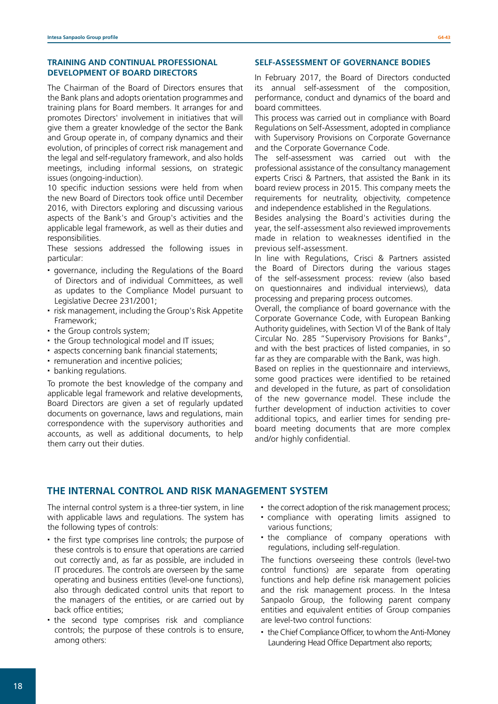#### **TRAINING AND CONTINUAL PROFESSIONAL DEVELOPMENT OF BOARD DIRECTORS**

The Chairman of the Board of Directors ensures that the Bank plans and adopts orientation programmes and training plans for Board members. It arranges for and promotes Directors' involvement in initiatives that will give them a greater knowledge of the sector the Bank and Group operate in, of company dynamics and their evolution, of principles of correct risk management and the legal and self-regulatory framework, and also holds meetings, including informal sessions, on strategic issues (ongoing-induction).

10 specific induction sessions were held from when the new Board of Directors took office until December 2016, with Directors exploring and discussing various aspects of the Bank's and Group's activities and the applicable legal framework, as well as their duties and responsibilities.

These sessions addressed the following issues in particular:

- governance, including the Regulations of the Board of Directors and of individual Committees, as well as updates to the Compliance Model pursuant to Legislative Decree 231/2001;
- risk management, including the Group's Risk Appetite Framework;
- the Group controls system;
- the Group technological model and IT issues;
- aspects concerning bank financial statements;
- remuneration and incentive policies;
- banking regulations.

To promote the best knowledge of the company and applicable legal framework and relative developments, Board Directors are given a set of regularly updated documents on governance, laws and regulations, main correspondence with the supervisory authorities and accounts, as well as additional documents, to help them carry out their duties.

#### **SELF-ASSESSMENT OF GOVERNANCE BODIES**

In February 2017, the Board of Directors conducted its annual self-assessment of the composition, performance, conduct and dynamics of the board and board committees.

This process was carried out in compliance with Board Regulations on Self-Assessment, adopted in compliance with Supervisory Provisions on Corporate Governance and the Corporate Governance Code.

The self-assessment was carried out with the professional assistance of the consultancy management experts Crisci & Partners, that assisted the Bank in its board review process in 2015. This company meets the requirements for neutrality, objectivity, competence and independence established in the Regulations.

Besides analysing the Board's activities during the year, the self-assessment also reviewed improvements made in relation to weaknesses identified in the previous self-assessment.

In line with Regulations, Crisci & Partners assisted the Board of Directors during the various stages of the self-assessment process: review (also based on questionnaires and individual interviews), data processing and preparing process outcomes.

Overall, the compliance of board governance with the Corporate Governance Code, with European Banking Authority guidelines, with Section VI of the Bank of Italy Circular No. 285 "Supervisory Provisions for Banks", and with the best practices of listed companies, in so far as they are comparable with the Bank, was high.

Based on replies in the questionnaire and interviews, some good practices were identified to be retained and developed in the future, as part of consolidation of the new governance model. These include the further development of induction activities to cover additional topics, and earlier times for sending preboard meeting documents that are more complex and/or highly confidential.

### **THE INTERNAL CONTROL AND RISK MANAGEMENT SYSTEM**

The internal control system is a three-tier system, in line with applicable laws and regulations. The system has the following types of controls:

- the first type comprises line controls; the purpose of these controls is to ensure that operations are carried out correctly and, as far as possible, are included in IT procedures. The controls are overseen by the same operating and business entities (level-one functions), also through dedicated control units that report to the managers of the entities, or are carried out by back office entities;
- the second type comprises risk and compliance controls; the purpose of these controls is to ensure, among others:
- the correct adoption of the risk management process;
- compliance with operating limits assigned to various functions;
- $\cdot$  the compliance of company operations with regulations, including self-regulation.

The functions overseeing these controls (level-two control functions) are separate from operating functions and help define risk management policies and the risk management process. In the Intesa Sanpaolo Group, the following parent company entities and equivalent entities of Group companies are level-two control functions:

• the Chief Compliance Officer, to whom the Anti-Money Laundering Head Office Department also reports;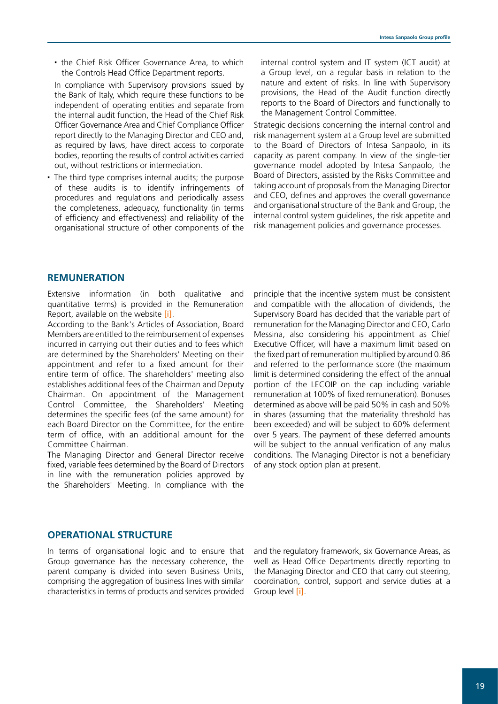• the Chief Risk Officer Governance Area, to which the Controls Head Office Department reports.

In compliance with Supervisory provisions issued by the Bank of Italy, which require these functions to be independent of operating entities and separate from the internal audit function, the Head of the Chief Risk Officer Governance Area and Chief Compliance Officer report directly to the Managing Director and CEO and, as required by laws, have direct access to corporate bodies, reporting the results of control activities carried out, without restrictions or intermediation.

 The third type comprises internal audits; the purpose of these audits is to identify infringements of procedures and regulations and periodically assess the completeness, adequacy, functionality (in terms of efficiency and effectiveness) and reliability of the organisational structure of other components of the

internal control system and IT system (ICT audit) at a Group level, on a regular basis in relation to the nature and extent of risks. In line with Supervisory provisions, the Head of the Audit function directly reports to the Board of Directors and functionally to the Management Control Committee.

Strategic decisions concerning the internal control and risk management system at a Group level are submitted to the Board of Directors of Intesa Sanpaolo, in its capacity as parent company. In view of the single-tier governance model adopted by Intesa Sanpaolo, the Board of Directors, assisted by the Risks Committee and taking account of proposals from the Managing Director and CEO, defines and approves the overall governance and organisational structure of the Bank and Group, the internal control system guidelines, the risk appetite and risk management policies and governance processes.

### **REMUNERATION**

Extensive information (in both qualitative and quantitative terms) is provided in the Remuneration Report, available on the website [\[i\]](http://www.group.intesasanpaolo.com/scriptIsir0/si09/governance/eng_documenti_societari.jsp?tabId=2016&tabParams=eyd0YWJJZCc6JzIwMTYnfQ__).

According to the Bank's Articles of Association, Board Members are entitled to the reimbursement of expenses incurred in carrying out their duties and to fees which are determined by the Shareholders' Meeting on their appointment and refer to a fixed amount for their entire term of office. The shareholders' meeting also establishes additional fees of the Chairman and Deputy Chairman. On appointment of the Management Control Committee, the Shareholders' Meeting determines the specific fees (of the same amount) for each Board Director on the Committee, for the entire term of office, with an additional amount for the Committee Chairman.

The Managing Director and General Director receive fixed, variable fees determined by the Board of Directors in line with the remuneration policies approved by the Shareholders' Meeting. In compliance with the

principle that the incentive system must be consistent and compatible with the allocation of dividends, the Supervisory Board has decided that the variable part of remuneration for the Managing Director and CEO, Carlo Messina, also considering his appointment as Chief Executive Officer, will have a maximum limit based on the fixed part of remuneration multiplied by around 0.86 and referred to the performance score (the maximum limit is determined considering the effect of the annual portion of the LECOIP on the cap including variable remuneration at 100% of fixed remuneration). Bonuses determined as above will be paid 50% in cash and 50% in shares (assuming that the materiality threshold has been exceeded) and will be subject to 60% deferment over 5 years. The payment of these deferred amounts will be subject to the annual verification of any malus conditions. The Managing Director is not a beneficiary of any stock option plan at present.

#### **OPERATIONAL STRUCTURE**

In terms of organisational logic and to ensure that Group governance has the necessary coherence, the parent company is divided into seven Business Units, comprising the aggregation of business lines with similar characteristics in terms of products and services provided

and the regulatory framework, six Governance Areas, as well as Head Office Departments directly reporting to the Managing Director and CEO that carry out steering, coordination, control, support and service duties at a Group level [\[i\]](http://www.group.intesasanpaolo.com/scriptIsir0/si09/chi_siamo/eng_top_management.jsp).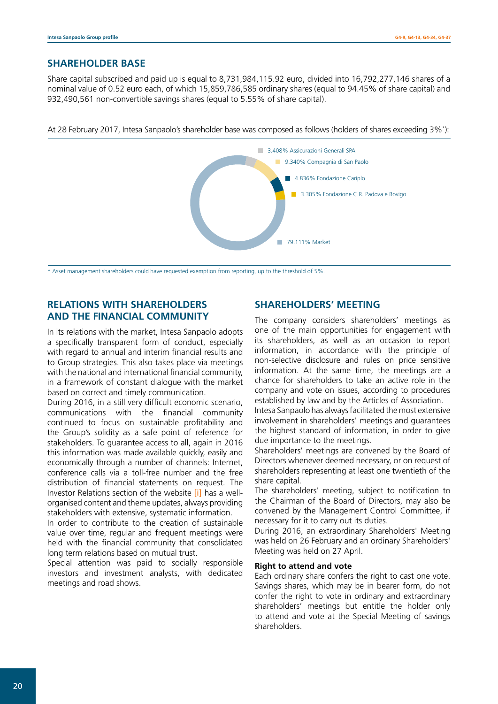### **SHAREHOLDER BASE**

Share capital subscribed and paid up is equal to 8,731,984,115.92 euro, divided into 16,792,277,146 shares of a nominal value of 0.52 euro each, of which 15,859,786,585 ordinary shares (equal to 94.45% of share capital) and 932,490,561 non-convertible savings shares (equal to 5.55% of share capital).

At 28 February 2017, Intesa Sanpaolo's shareholder base was composed as follows (holders of shares exceeding 3%\* ):



\* Asset management shareholders could have requested exemption from reporting, up to the threshold of 5%.

# **RELATIONS WITH SHAREHOLDERS AND THE FINANCIAL COMMUNITY**

In its relations with the market, Intesa Sanpaolo adopts a specifically transparent form of conduct, especially with regard to annual and interim financial results and to Group strategies. This also takes place via meetings with the national and international financial community, in a framework of constant dialogue with the market based on correct and timely communication.

During 2016, in a still very difficult economic scenario, communications with the financial community continued to focus on sustainable profitability and the Group's solidity as a safe point of reference for stakeholders. To guarantee access to all, again in 2016 this information was made available quickly, easily and economically through a number of channels: Internet, conference calls via a toll-free number and the free distribution of financial statements on request. The Investor Relations section of the website [\[i\]](http://www.group.intesasanpaolo.com/scriptIsir0/si09/investor_relations/eng_wp_investor_relations.jsp) has a wellorganised content and theme updates, always providing stakeholders with extensive, systematic information.

In order to contribute to the creation of sustainable value over time, regular and frequent meetings were held with the financial community that consolidated long term relations based on mutual trust.

Special attention was paid to socially responsible investors and investment analysts, with dedicated meetings and road shows.

### **SHAREHOLDERS' MEETING**

The company considers shareholders' meetings as one of the main opportunities for engagement with its shareholders, as well as an occasion to report information, in accordance with the principle of non-selective disclosure and rules on price sensitive information. At the same time, the meetings are a chance for shareholders to take an active role in the company and vote on issues, according to procedures established by law and by the Articles of Association.

Intesa Sanpaolo has always facilitated the most extensive involvement in shareholders' meetings and guarantees the highest standard of information, in order to give due importance to the meetings.

Shareholders' meetings are convened by the Board of Directors whenever deemed necessary, or on request of shareholders representing at least one twentieth of the share capital.

The shareholders' meeting, subject to notification to the Chairman of the Board of Directors, may also be convened by the Management Control Committee, if necessary for it to carry out its duties.

During 2016, an extraordinary Shareholders' Meeting was held on 26 February and an ordinary Shareholders' Meeting was held on 27 April.

#### **Right to attend and vote**

Each ordinary share confers the right to cast one vote. Savings shares, which may be in bearer form, do not confer the right to vote in ordinary and extraordinary shareholders' meetings but entitle the holder only to attend and vote at the Special Meeting of savings shareholders.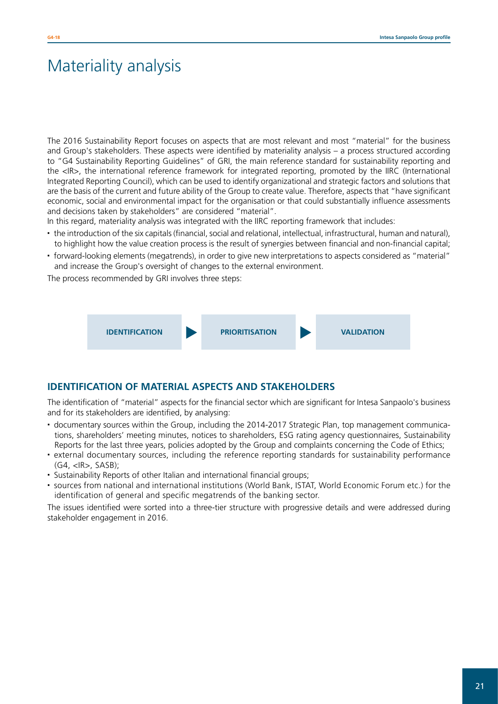# Materiality analysis

The 2016 Sustainability Report focuses on aspects that are most relevant and most "material" for the business and Group's stakeholders. These aspects were identified by materiality analysis – a process structured according to "G4 Sustainability Reporting Guidelines" of GRI, the main reference standard for sustainability reporting and the <IR>, the international reference framework for integrated reporting, promoted by the IIRC (International Integrated Reporting Council), which can be used to identify organizational and strategic factors and solutions that are the basis of the current and future ability of the Group to create value. Therefore, aspects that "have significant economic, social and environmental impact for the organisation or that could substantially influence assessments and decisions taken by stakeholders" are considered "material".

In this regard, materiality analysis was integrated with the IIRC reporting framework that includes:

- the introduction of the six capitals (financial, social and relational, intellectual, infrastructural, human and natural), to highlight how the value creation process is the result of synergies between financial and non-financial capital;
- forward-looking elements (megatrends), in order to give new interpretations to aspects considered as "material" and increase the Group's oversight of changes to the external environment.

The process recommended by GRI involves three steps:



### **IDENTIFICATION OF MATERIAL ASPECTS AND STAKEHOLDERS**

The identification of "material" aspects for the financial sector which are significant for Intesa Sanpaolo's business and for its stakeholders are identified, by analysing:

- documentary sources within the Group, including the 2014-2017 Strategic Plan, top management communications, shareholders' meeting minutes, notices to shareholders, ESG rating agency questionnaires, Sustainability Reports for the last three years, policies adopted by the Group and complaints concerning the Code of Ethics;
- external documentary sources, including the reference reporting standards for sustainability performance (G4, <IR>, SASB);
- Sustainability Reports of other Italian and international financial groups;
- sources from national and international institutions (World Bank, ISTAT, World Economic Forum etc.) for the identification of general and specific megatrends of the banking sector.

The issues identified were sorted into a three-tier structure with progressive details and were addressed during stakeholder engagement in 2016.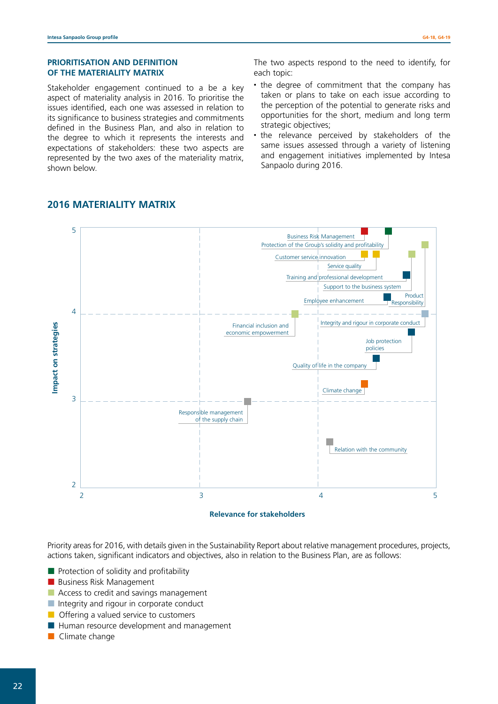#### **PRIORITISATION AND DEFINITION OF THE MATERIALITY MATRIX**

Stakeholder engagement continued to a be a key aspect of materiality analysis in 2016. To prioritise the issues identified, each one was assessed in relation to its significance to business strategies and commitments defined in the Business Plan, and also in relation to the degree to which it represents the interests and expectations of stakeholders: these two aspects are represented by the two axes of the materiality matrix, shown below.

The two aspects respond to the need to identify, for each topic:

- the degree of commitment that the company has taken or plans to take on each issue according to the perception of the potential to generate risks and opportunities for the short, medium and long term strategic objectives;
- the relevance perceived by stakeholders of the same issues assessed through a variety of listening and engagement initiatives implemented by Intesa Sanpaolo during 2016.



# **2016 MATERIALITY MATRIX**

Priority areas for 2016, with details given in the Sustainability Report about relative management procedures, projects, actions taken, significant indicators and objectives, also in relation to the Business Plan, are as follows:

- $\blacksquare$  Protection of solidity and profitability
- **Business Risk Management**
- Access to credit and savings management
- Integrity and rigour in corporate conduct
- **Offering a valued service to customers**
- **Human resource development and management**
- **Climate change**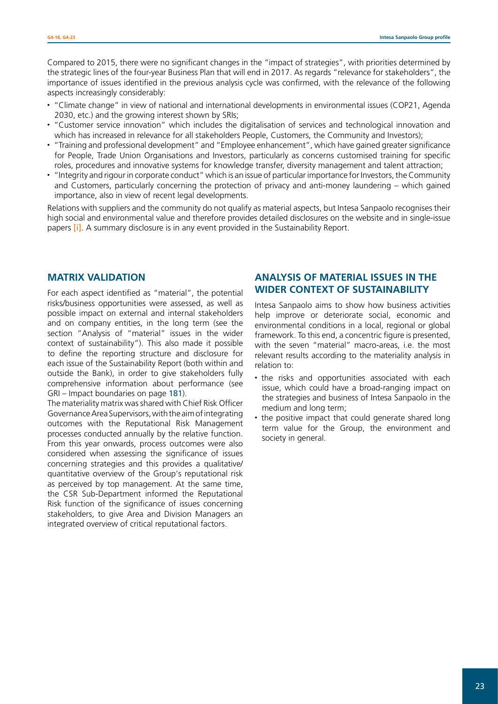Compared to 2015, there were no significant changes in the "impact of strategies", with priorities determined by the strategic lines of the four-year Business Plan that will end in 2017. As regards "relevance for stakeholders", the importance of issues identified in the previous analysis cycle was confirmed, with the relevance of the following aspects increasingly considerably:

- "Climate change" in view of national and international developments in environmental issues (COP21, Agenda 2030, etc.) and the growing interest shown by SRIs;
- "Customer service innovation" which includes the digitalisation of services and technological innovation and which has increased in relevance for all stakeholders People, Customers, the Community and Investors);
- "Training and professional development" and "Employee enhancement", which have gained greater significance for People, Trade Union Organisations and Investors, particularly as concerns customised training for specific roles, procedures and innovative systems for knowledge transfer, diversity management and talent attraction;
- "Integrity and rigour in corporate conduct" which is an issue of particular importance for Investors, the Community and Customers, particularly concerning the protection of privacy and anti-money laundering – which gained importance, also in view of recent legal developments.

Relations with suppliers and the community do not qualify as material aspects, but Intesa Sanpaolo recognises their high social and environmental value and therefore provides detailed disclosures on the website and in single-issue papers *[\[i\]](http://www.group.intesasanpaolo.com/scriptIsir0/si09/sostenibilita/eng_wp_sostenibilita.jsp)*. A summary disclosure is in any event provided in the Sustainability Report.

## **MATRIX VALIDATION**

For each aspect identified as "material", the potential risks/business opportunities were assessed, as well as possible impact on external and internal stakeholders and on company entities, in the long term (see the section "Analysis of "material" issues in the wider context of sustainability"). This also made it possible to define the reporting structure and disclosure for each issue of the Sustainability Report (both within and outside the Bank), in order to give stakeholders fully comprehensive information about performance (see GRI – Impact boundaries on page 181).

The materiality matrix was shared with Chief Risk Officer Governance Area Supervisors, with the aim of integrating outcomes with the Reputational Risk Management processes conducted annually by the relative function. From this year onwards, process outcomes were also considered when assessing the significance of issues concerning strategies and this provides a qualitative/ quantitative overview of the Group's reputational risk as perceived by top management. At the same time, the CSR Sub-Department informed the Reputational Risk function of the significance of issues concerning stakeholders, to give Area and Division Managers an integrated overview of critical reputational factors.

### **ANALYSIS OF MATERIAL ISSUES IN THE WIDER CONTEXT OF SUSTAINABILITY**

Intesa Sanpaolo aims to show how business activities help improve or deteriorate social, economic and environmental conditions in a local, regional or global framework. To this end, a concentric figure is presented, with the seven "material" macro-areas, i.e. the most relevant results according to the materiality analysis in relation to:

- the risks and opportunities associated with each issue, which could have a broad-ranging impact on the strategies and business of Intesa Sanpaolo in the medium and long term;
- the positive impact that could generate shared long term value for the Group, the environment and society in general.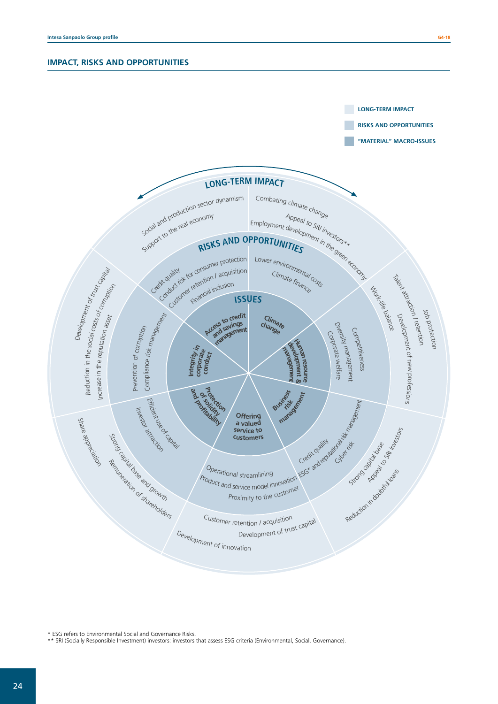

\* ESG refers to Environmental Social and Governance Risks.

\*\* SRI (Socially Responsible Investment) investors: investors that assess ESG criteria (Environmental, Social, Governance).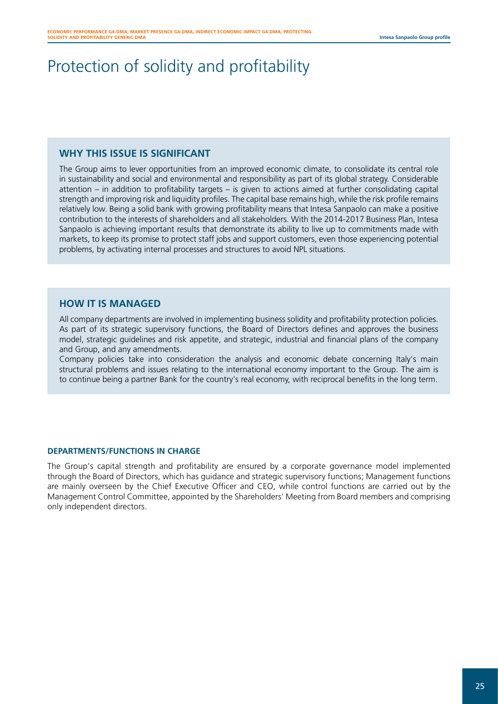# Protection of solidity and profitability

## **WHY THIS ISSUE IS SIGNIFICANT**

The Group aims to lever opportunities from an improved economic climate, to consolidate its central role in sustainability and social and environmental and responsibility as part of its global strategy. Considerable attention – in addition to profitability targets – is given to actions aimed at further consolidating capital strength and improving risk and liquidity profiles. The capital base remains high, while the risk profile remains relatively low. Being a solid bank with growing profitability means that Intesa Sanpaolo can make a positive contribution to the interests of shareholders and all stakeholders. With the 2014-2017 Business Plan, Intesa Sanpaolo is achieving important results that demonstrate its ability to live up to commitments made with markets, to keep its promise to protect staff jobs and support customers, even those experiencing potential problems, by activating internal processes and structures to avoid NPL situations.

## **HOW IT IS MANAGED**

All company departments are involved in implementing business solidity and profitability protection policies. As part of its strategic supervisory functions, the Board of Directors defines and approves the business model, strategic guidelines and risk appetite, and strategic, industrial and financial plans of the company and Group, and any amendments.

Company policies take into consideration the analysis and economic debate concerning Italy's main structural problems and issues relating to the international economy important to the Group. The aim is to continue being a partner Bank for the country's real economy, with reciprocal benefits in the long term.

### **DEPARTMENTS/FUNCTIONS IN CHARGE**

The Group's capital strength and profitability are ensured by a corporate governance model implemented through the Board of Directors, which has guidance and strategic supervisory functions; Management functions are mainly overseen by the Chief Executive Officer and CEO, while control functions are carried out by the Management Control Committee, appointed by the Shareholders' Meeting from Board members and comprising only independent directors.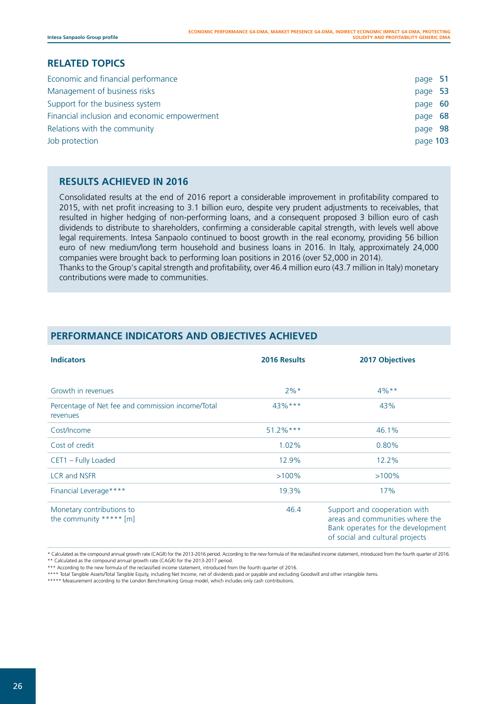### **RELATED TOPICS**

| page 51  |  |
|----------|--|
| page 53  |  |
| page 60  |  |
| page 68  |  |
| page 98  |  |
| page 103 |  |
|          |  |

## **RESULTS ACHIEVED IN 2016**

Consolidated results at the end of 2016 report a considerable improvement in profitability compared to 2015, with net profit increasing to 3.1 billion euro, despite very prudent adjustments to receivables, that resulted in higher hedging of non-performing loans, and a consequent proposed 3 billion euro of cash dividends to distribute to shareholders, confirming a considerable capital strength, with levels well above legal requirements. Intesa Sanpaolo continued to boost growth in the real economy, providing 56 billion euro of new medium/long term household and business loans in 2016. In Italy, approximately 24,000 companies were brought back to performing loan positions in 2016 (over 52,000 in 2014). Thanks to the Group's capital strength and profitability, over 46.4 million euro (43.7 million in Italy) monetary contributions were made to communities.

| <b>Indicators</b>                                             | 2016 Results | <b>2017 Objectives</b>                                                                                                                  |
|---------------------------------------------------------------|--------------|-----------------------------------------------------------------------------------------------------------------------------------------|
| Growth in revenues                                            | $2\%*$       | $4\%**$                                                                                                                                 |
| Percentage of Net fee and commission income/Total<br>revenues | $43\%***$    | 43%                                                                                                                                     |
| Cost/Income                                                   | $51.2\%***$  | 46.1%                                                                                                                                   |
| Cost of credit                                                | 1.02%        | 0.80%                                                                                                                                   |
| CET1 - Fully Loaded                                           | 12.9%        | 12.2%                                                                                                                                   |
| <b>LCR and NSFR</b>                                           | $>100\%$     | $>100\%$                                                                                                                                |
| Financial Leverage****                                        | 19.3%        | 17%                                                                                                                                     |
| Monetary contributions to<br>the community ***** [m]          | 46.4         | Support and cooperation with<br>areas and communities where the<br>Bank operates for the development<br>of social and cultural projects |

# **PERFORMANCE INDICATORS AND OBJECTIVES ACHIEVED**

\* Calculated as the compound annual growth rate (CAGR) for the 2013-2016 period. According to the new formula of the reclassified income statement, introduced from the fourth quarter of 2016. \*\* Calculated as the compound annual growth rate (CAGR) for the 2013-2017 period.

\*\*\* According to the new formula of the reclassified income statement, introduced from the fourth quarter of 2016.

\*\*\*\* Total Tangible Assets/Total Tangible Equity, including Net Income, net of dividends paid or payable and excluding Goodwill and other intangible items.

\*\*\*\*\* Measurement according to the London Benchmarking Group model, which includes only cash contributions.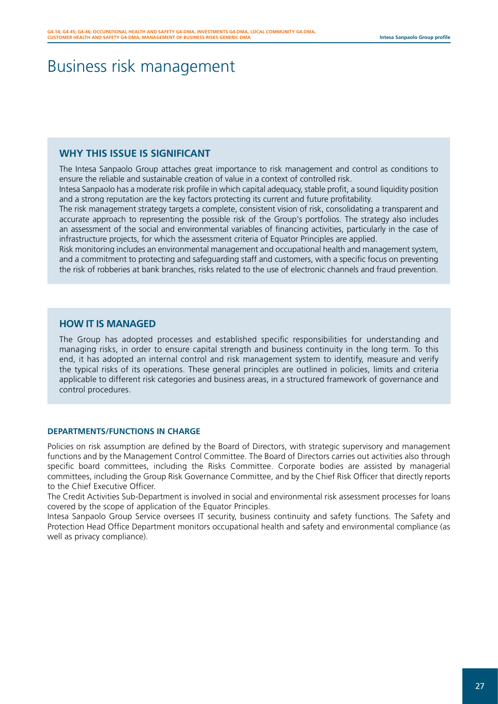# Business risk management

## **WHY THIS ISSUE IS SIGNIFICANT**

The Intesa Sanpaolo Group attaches great importance to risk management and control as conditions to ensure the reliable and sustainable creation of value in a context of controlled risk.

Intesa Sanpaolo has a moderate risk profile in which capital adequacy, stable profit, a sound liquidity position and a strong reputation are the key factors protecting its current and future profitability.

The risk management strategy targets a complete, consistent vision of risk, consolidating a transparent and accurate approach to representing the possible risk of the Group's portfolios. The strategy also includes an assessment of the social and environmental variables of financing activities, particularly in the case of infrastructure projects, for which the assessment criteria of Equator Principles are applied.

Risk monitoring includes an environmental management and occupational health and management system, and a commitment to protecting and safeguarding staff and customers, with a specific focus on preventing the risk of robberies at bank branches, risks related to the use of electronic channels and fraud prevention.

## **HOW IT IS MANAGED**

The Group has adopted processes and established specific responsibilities for understanding and managing risks, in order to ensure capital strength and business continuity in the long term. To this end, it has adopted an internal control and risk management system to identify, measure and verify the typical risks of its operations. These general principles are outlined in policies, limits and criteria applicable to different risk categories and business areas, in a structured framework of governance and control procedures.

#### **DEPARTMENTS/FUNCTIONS IN CHARGE**

Policies on risk assumption are defined by the Board of Directors, with strategic supervisory and management functions and by the Management Control Committee. The Board of Directors carries out activities also through specific board committees, including the Risks Committee. Corporate bodies are assisted by managerial committees, including the Group Risk Governance Committee, and by the Chief Risk Officer that directly reports to the Chief Executive Officer.

The Credit Activities Sub-Department is involved in social and environmental risk assessment processes for loans covered by the scope of application of the Equator Principles.

Intesa Sanpaolo Group Service oversees IT security, business continuity and safety functions. The Safety and Protection Head Office Department monitors occupational health and safety and environmental compliance (as well as privacy compliance).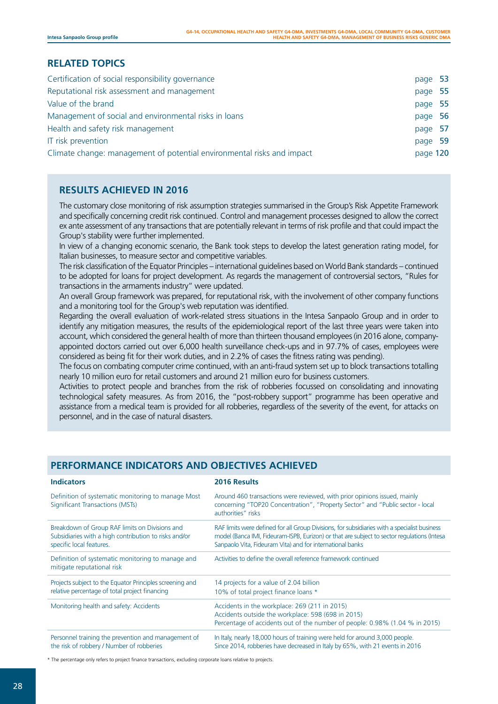# **RELATED TOPICS**

| Certification of social responsibility governance                      | page 53  |  |
|------------------------------------------------------------------------|----------|--|
| Reputational risk assessment and management                            | page 55  |  |
| Value of the brand                                                     | page 55  |  |
| Management of social and environmental risks in loans                  | page 56  |  |
| Health and safety risk management                                      | page 57  |  |
| IT risk prevention                                                     | page 59  |  |
| Climate change: management of potential environmental risks and impact | page 120 |  |

# **RESULTS ACHIEVED IN 2016**

The customary close monitoring of risk assumption strategies summarised in the Group's Risk Appetite Framework and specifically concerning credit risk continued. Control and management processes designed to allow the correct ex ante assessment of any transactions that are potentially relevant in terms of risk profile and that could impact the Group's stability were further implemented.

In view of a changing economic scenario, the Bank took steps to develop the latest generation rating model, for Italian businesses, to measure sector and competitive variables.

The risk classification of the Equator Principles – international guidelines based on World Bank standards – continued to be adopted for loans for project development. As regards the management of controversial sectors, "Rules for transactions in the armaments industry" were updated.

An overall Group framework was prepared, for reputational risk, with the involvement of other company functions and a monitoring tool for the Group's web reputation was identified.

Regarding the overall evaluation of work-related stress situations in the Intesa Sanpaolo Group and in order to identify any mitigation measures, the results of the epidemiological report of the last three years were taken into account, which considered the general health of more than thirteen thousand employees (in 2016 alone, companyappointed doctors carried out over 6,000 health surveillance check-ups and in 97.7% of cases, employees were considered as being fit for their work duties, and in 2.2% of cases the fitness rating was pending).

The focus on combating computer crime continued, with an anti-fraud system set up to block transactions totalling nearly 10 million euro for retail customers and around 21 million euro for business customers.

Activities to protect people and branches from the risk of robberies focussed on consolidating and innovating technological safety measures. As from 2016, the "post-robbery support" programme has been operative and assistance from a medical team is provided for all robberies, regardless of the severity of the event, for attacks on personnel, and in the case of natural disasters.

| <b>Indicators</b>                                                                                                                   | 2016 Results                                                                                                                                                                                                                                             |
|-------------------------------------------------------------------------------------------------------------------------------------|----------------------------------------------------------------------------------------------------------------------------------------------------------------------------------------------------------------------------------------------------------|
| Definition of systematic monitoring to manage Most<br>Significant Transactions (MSTs)                                               | Around 460 transactions were reviewed, with prior opinions issued, mainly<br>concerning "TOP20 Concentration", "Property Sector" and "Public sector - local<br>authorities" risks                                                                        |
| Breakdown of Group RAF limits on Divisions and<br>Subsidiaries with a high contribution to risks and/or<br>specific local features. | RAF limits were defined for all Group Divisions, for subsidiaries with a specialist business<br>model (Banca IMI, Fideuram-ISPB, Eurizon) or that are subject to sector regulations (Intesa<br>Sanpaolo Vita, Fideuram Vita) and for international banks |
| Definition of systematic monitoring to manage and<br>mitigate reputational risk                                                     | Activities to define the overall reference framework continued                                                                                                                                                                                           |
| Projects subject to the Equator Principles screening and                                                                            | 14 projects for a value of 2.04 billion                                                                                                                                                                                                                  |
| relative percentage of total project financing                                                                                      | 10% of total project finance loans *                                                                                                                                                                                                                     |
| Monitoring health and safety: Accidents                                                                                             | Accidents in the workplace: 269 (211 in 2015)                                                                                                                                                                                                            |
|                                                                                                                                     | Accidents outside the workplace: 598 (698 in 2015)                                                                                                                                                                                                       |
|                                                                                                                                     | Percentage of accidents out of the number of people: 0.98% (1.04 % in 2015)                                                                                                                                                                              |
| Personnel training the prevention and management of<br>the risk of robbery / Number of robberies                                    | In Italy, nearly 18,000 hours of training were held for around 3,000 people.<br>Since 2014, robberies have decreased in Italy by 65%, with 21 events in 2016                                                                                             |

# **PERFORMANCE INDICATORS AND OBJECTIVES ACHIEVED**

\* The percentage only refers to project finance transactions, excluding corporate loans relative to projects.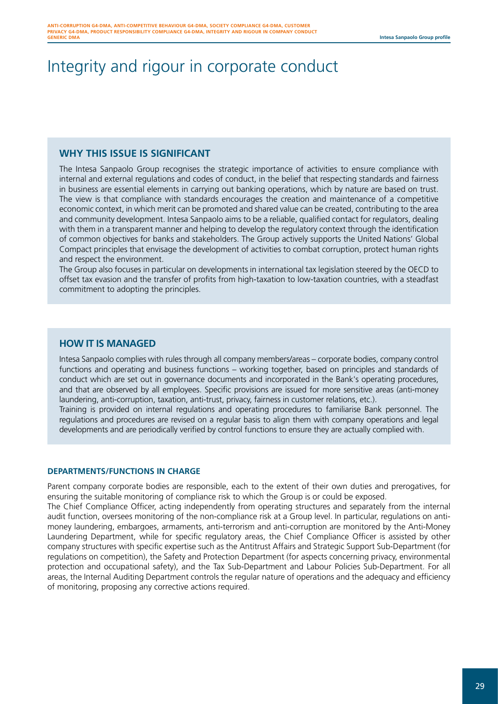# Integrity and rigour in corporate conduct

### **WHY THIS ISSUE IS SIGNIFICANT**

The Intesa Sanpaolo Group recognises the strategic importance of activities to ensure compliance with internal and external regulations and codes of conduct, in the belief that respecting standards and fairness in business are essential elements in carrying out banking operations, which by nature are based on trust. The view is that compliance with standards encourages the creation and maintenance of a competitive economic context, in which merit can be promoted and shared value can be created, contributing to the area and community development. Intesa Sanpaolo aims to be a reliable, qualified contact for regulators, dealing with them in a transparent manner and helping to develop the regulatory context through the identification of common objectives for banks and stakeholders. The Group actively supports the United Nations' Global Compact principles that envisage the development of activities to combat corruption, protect human rights and respect the environment.

The Group also focuses in particular on developments in international tax legislation steered by the OECD to offset tax evasion and the transfer of profits from high-taxation to low-taxation countries, with a steadfast commitment to adopting the principles.

### **HOW IT IS MANAGED**

Intesa Sanpaolo complies with rules through all company members/areas – corporate bodies, company control functions and operating and business functions – working together, based on principles and standards of conduct which are set out in governance documents and incorporated in the Bank's operating procedures, and that are observed by all employees. Specific provisions are issued for more sensitive areas (anti-money laundering, anti-corruption, taxation, anti-trust, privacy, fairness in customer relations, etc.).

Training is provided on internal regulations and operating procedures to familiarise Bank personnel. The regulations and procedures are revised on a regular basis to align them with company operations and legal developments and are periodically verified by control functions to ensure they are actually complied with.

#### **DEPARTMENTS/FUNCTIONS IN CHARGE**

Parent company corporate bodies are responsible, each to the extent of their own duties and prerogatives, for ensuring the suitable monitoring of compliance risk to which the Group is or could be exposed. The Chief Compliance Officer, acting independently from operating structures and separately from the internal audit function, oversees monitoring of the non-compliance risk at a Group level. In particular, regulations on antimoney laundering, embargoes, armaments, anti-terrorism and anti-corruption are monitored by the Anti-Money Laundering Department, while for specific regulatory areas, the Chief Compliance Officer is assisted by other company structures with specific expertise such as the Antitrust Affairs and Strategic Support Sub-Department (for regulations on competition), the Safety and Protection Department (for aspects concerning privacy, environmental protection and occupational safety), and the Tax Sub-Department and Labour Policies Sub-Department. For all areas, the Internal Auditing Department controls the regular nature of operations and the adequacy and efficiency of monitoring, proposing any corrective actions required.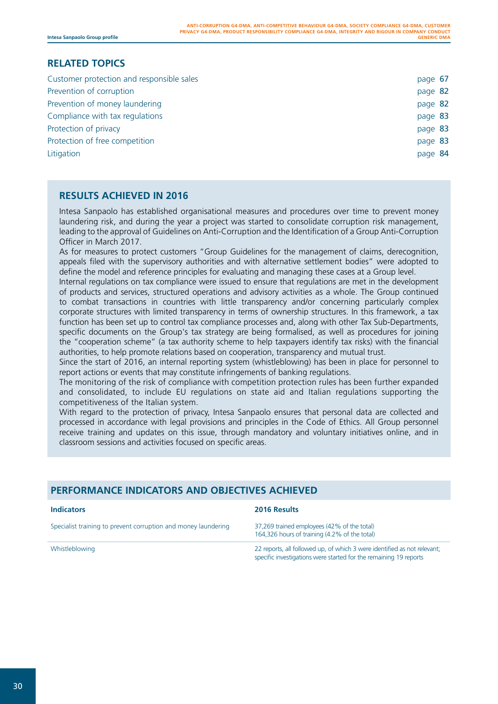# **RELATED TOPICS**

| Customer protection and responsible sales | page 67 |  |
|-------------------------------------------|---------|--|
| Prevention of corruption                  | page 82 |  |
| Prevention of money laundering            | page 82 |  |
| Compliance with tax regulations           | page 83 |  |
| Protection of privacy                     | page 83 |  |
| Protection of free competition            | page 83 |  |
| Litigation                                | page 84 |  |

# **RESULTS ACHIEVED IN 2016**

Intesa Sanpaolo has established organisational measures and procedures over time to prevent money laundering risk, and during the year a project was started to consolidate corruption risk management, leading to the approval of Guidelines on Anti-Corruption and the Identification of a Group Anti-Corruption Officer in March 2017.

As for measures to protect customers "Group Guidelines for the management of claims, derecognition, appeals filed with the supervisory authorities and with alternative settlement bodies" were adopted to define the model and reference principles for evaluating and managing these cases at a Group level.

Internal regulations on tax compliance were issued to ensure that regulations are met in the development of products and services, structured operations and advisory activities as a whole. The Group continued to combat transactions in countries with little transparency and/or concerning particularly complex corporate structures with limited transparency in terms of ownership structures. In this framework, a tax function has been set up to control tax compliance processes and, along with other Tax Sub-Departments, specific documents on the Group's tax strategy are being formalised, as well as procedures for joining the "cooperation scheme" (a tax authority scheme to help taxpayers identify tax risks) with the financial authorities, to help promote relations based on cooperation, transparency and mutual trust.

Since the start of 2016, an internal reporting system (whistleblowing) has been in place for personnel to report actions or events that may constitute infringements of banking regulations.

The monitoring of the risk of compliance with competition protection rules has been further expanded and consolidated, to include EU regulations on state aid and Italian regulations supporting the competitiveness of the Italian system.

With regard to the protection of privacy, Intesa Sanpaolo ensures that personal data are collected and processed in accordance with legal provisions and principles in the Code of Ethics. All Group personnel receive training and updates on this issue, through mandatory and voluntary initiatives online, and in classroom sessions and activities focused on specific areas.

# **PERFORMANCE INDICATORS AND OBJECTIVES ACHIEVED**

| <b>Indicators</b>                                              | 2016 Results                                                                                                                                  |
|----------------------------------------------------------------|-----------------------------------------------------------------------------------------------------------------------------------------------|
| Specialist training to prevent corruption and money laundering | 37,269 trained employees (42% of the total)<br>164,326 hours of training (4.2% of the total)                                                  |
| Whistleblowing                                                 | 22 reports, all followed up, of which 3 were identified as not relevant;<br>specific investigations were started for the remaining 19 reports |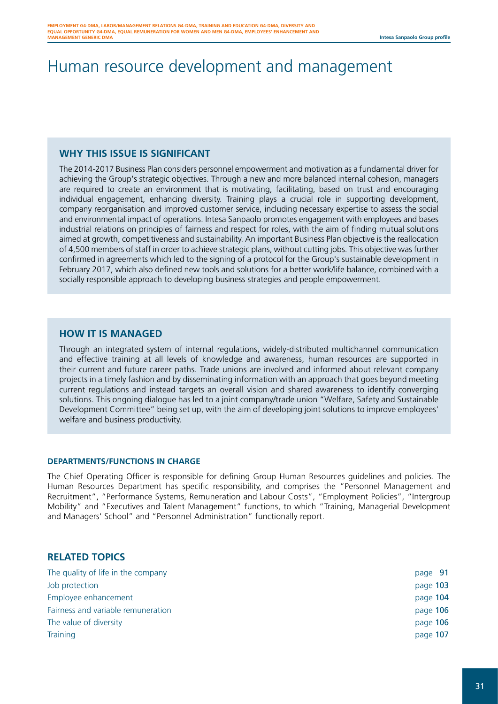# Human resource development and management

## **WHY THIS ISSUE IS SIGNIFICANT**

The 2014-2017 Business Plan considers personnel empowerment and motivation as a fundamental driver for achieving the Group's strategic objectives. Through a new and more balanced internal cohesion, managers are required to create an environment that is motivating, facilitating, based on trust and encouraging individual engagement, enhancing diversity. Training plays a crucial role in supporting development, company reorganisation and improved customer service, including necessary expertise to assess the social and environmental impact of operations. Intesa Sanpaolo promotes engagement with employees and bases industrial relations on principles of fairness and respect for roles, with the aim of finding mutual solutions aimed at growth, competitiveness and sustainability. An important Business Plan objective is the reallocation of 4,500 members of staff in order to achieve strategic plans, without cutting jobs. This objective was further confirmed in agreements which led to the signing of a protocol for the Group's sustainable development in February 2017, which also defined new tools and solutions for a better work/life balance, combined with a socially responsible approach to developing business strategies and people empowerment.

## **HOW IT IS MANAGED**

Through an integrated system of internal regulations, widely-distributed multichannel communication and effective training at all levels of knowledge and awareness, human resources are supported in their current and future career paths. Trade unions are involved and informed about relevant company projects in a timely fashion and by disseminating information with an approach that goes beyond meeting current regulations and instead targets an overall vision and shared awareness to identify converging solutions. This ongoing dialogue has led to a joint company/trade union "Welfare, Safety and Sustainable Development Committee" being set up, with the aim of developing joint solutions to improve employees' welfare and business productivity.

#### **DEPARTMENTS/FUNCTIONS IN CHARGE**

The Chief Operating Officer is responsible for defining Group Human Resources guidelines and policies. The Human Resources Department has specific responsibility, and comprises the "Personnel Management and Recruitment", "Performance Systems, Remuneration and Labour Costs", "Employment Policies", "Intergroup Mobility" and "Executives and Talent Management" functions, to which "Training, Managerial Development and Managers' School" and "Personnel Administration" functionally report.

### **RELATED TOPICS**

| The quality of life in the company | page 91  |
|------------------------------------|----------|
| Job protection                     | page 103 |
| Employee enhancement               | page 104 |
| Fairness and variable remuneration | page 106 |
| The value of diversity             | page 106 |
| Training                           | page 107 |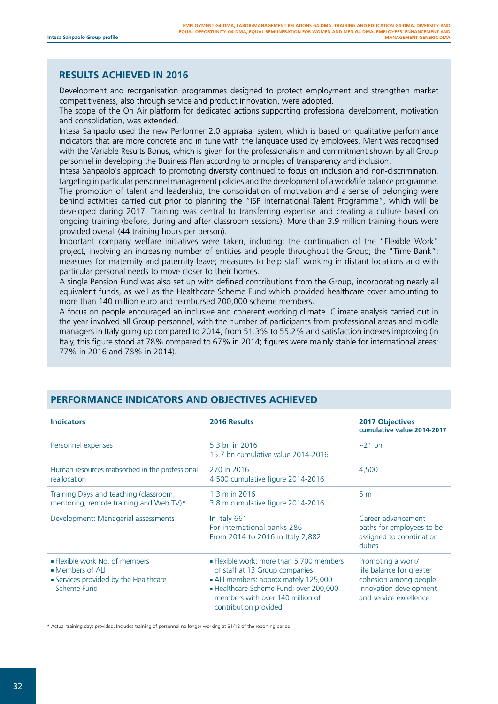## **RESULTS ACHIEVED IN 2016**

Development and reorganisation programmes designed to protect employment and strengthen market competitiveness, also through service and product innovation, were adopted.

The scope of the On Air platform for dedicated actions supporting professional development, motivation and consolidation, was extended.

Intesa Sanpaolo used the new Performer 2.0 appraisal system, which is based on qualitative performance indicators that are more concrete and in tune with the language used by employees. Merit was recognised with the Variable Results Bonus, which is given for the professionalism and commitment shown by all Group personnel in developing the Business Plan according to principles of transparency and inclusion.

Intesa Sanpaolo's approach to promoting diversity continued to focus on inclusion and non-discrimination, targeting in particular personnel management policies and the development of a work/life balance programme. The promotion of talent and leadership, the consolidation of motivation and a sense of belonging were behind activities carried out prior to planning the "ISP International Talent Programme", which will be developed during 2017. Training was central to transferring expertise and creating a culture based on ongoing training (before, during and after classroom sessions). More than 3.9 million training hours were provided overall (44 training hours per person).

Important company welfare initiatives were taken, including: the continuation of the "Flexible Work" project, involving an increasing number of entities and people throughout the Group; the "Time Bank"; measures for maternity and paternity leave; measures to help staff working in distant locations and with particular personal needs to move closer to their homes.

A single Pension Fund was also set up with defined contributions from the Group, incorporating nearly all equivalent funds, as well as the Healthcare Scheme Fund which provided healthcare cover amounting to more than 140 million euro and reimbursed 200,000 scheme members.

A focus on people encouraged an inclusive and coherent working climate. Climate analysis carried out in the year involved all Group personnel, with the number of participants from professional areas and middle managers in Italy going up compared to 2014, from 51.3% to 55.2% and satisfaction indexes improving (in Italy, this figure stood at 78% compared to 67% in 2014; figures were mainly stable for international areas: 77% in 2016 and 78% in 2014).

| <b>Indicators</b>                                                                                          | 2016 Results                                                                                                                                                                                                              | <b>2017 Objectives</b><br>cumulative value 2014-2017                                                                        |
|------------------------------------------------------------------------------------------------------------|---------------------------------------------------------------------------------------------------------------------------------------------------------------------------------------------------------------------------|-----------------------------------------------------------------------------------------------------------------------------|
| Personnel expenses                                                                                         | 5.3 bn in 2016<br>15.7 bn cumulative value 2014-2016                                                                                                                                                                      | $\sim$ 21 bn                                                                                                                |
| Human resources reabsorbed in the professional<br>reallocation                                             | 270 in 2016<br>4,500 cumulative figure 2014-2016                                                                                                                                                                          | 4,500                                                                                                                       |
| Training Days and teaching (classroom,<br>mentoring, remote training and Web TV)*                          | 1.3 m in 2016<br>3.8 m cumulative figure 2014-2016                                                                                                                                                                        | 5 <sub>m</sub>                                                                                                              |
| Development: Managerial assessments                                                                        | In Italy 661<br>For international banks 286<br>From 2014 to 2016 in Italy 2,882                                                                                                                                           | Career advancement<br>paths for employees to be<br>assigned to coordination<br>duties                                       |
| • Flexible work No. of members<br>• Members of ALI<br>• Services provided by the Healthcare<br>Scheme Fund | . Flexible work: more than 5,700 members<br>of staff at 13 Group companies<br>• ALI members: approximately 125,000<br>- Healthcare Scheme Fund: over 200,000<br>members with over 140 million of<br>contribution provided | Promoting a work/<br>life balance for greater<br>cohesion among people,<br>innovation development<br>and service excellence |

# **PERFORMANCE INDICATORS AND OBJECTIVES ACHIEVED**

\* Actual training days provided. Includes training of personnel no longer working at 31/12 of the reporting period.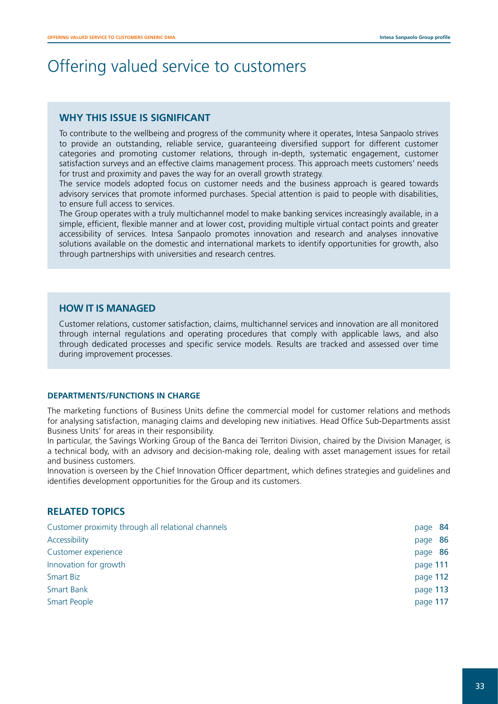# Offering valued service to customers

## **WHY THIS ISSUE IS SIGNIFICANT**

To contribute to the wellbeing and progress of the community where it operates, Intesa Sanpaolo strives to provide an outstanding, reliable service, guaranteeing diversified support for different customer categories and promoting customer relations, through in-depth, systematic engagement, customer satisfaction surveys and an effective claims management process. This approach meets customers' needs for trust and proximity and paves the way for an overall growth strategy.

The service models adopted focus on customer needs and the business approach is geared towards advisory services that promote informed purchases. Special attention is paid to people with disabilities, to ensure full access to services.

The Group operates with a truly multichannel model to make banking services increasingly available, in a simple, efficient, flexible manner and at lower cost, providing multiple virtual contact points and greater accessibility of services. Intesa Sanpaolo promotes innovation and research and analyses innovative solutions available on the domestic and international markets to identify opportunities for growth, also through partnerships with universities and research centres.

### **HOW IT IS MANAGED**

Customer relations, customer satisfaction, claims, multichannel services and innovation are all monitored through internal regulations and operating procedures that comply with applicable laws, and also through dedicated processes and specific service models. Results are tracked and assessed over time during improvement processes.

#### **DEPARTMENTS/FUNCTIONS IN CHARGE**

The marketing functions of Business Units define the commercial model for customer relations and methods for analysing satisfaction, managing claims and developing new initiatives. Head Office Sub-Departments assist Business Units' for areas in their responsibility.

In particular, the Savings Working Group of the Banca dei Territori Division, chaired by the Division Manager, is a technical body, with an advisory and decision-making role, dealing with asset management issues for retail and business customers.

Innovation is overseen by the Chief Innovation Officer department, which defines strategies and guidelines and identifies development opportunities for the Group and its customers.

## **RELATED TOPICS**

| Customer proximity through all relational channels | page 84  |  |
|----------------------------------------------------|----------|--|
| Accessibility                                      | page 86  |  |
| Customer experience                                | page 86  |  |
| Innovation for growth                              | page 111 |  |
| Smart Biz                                          | page 112 |  |
| <b>Smart Bank</b>                                  | page 113 |  |
| Smart People                                       | page 117 |  |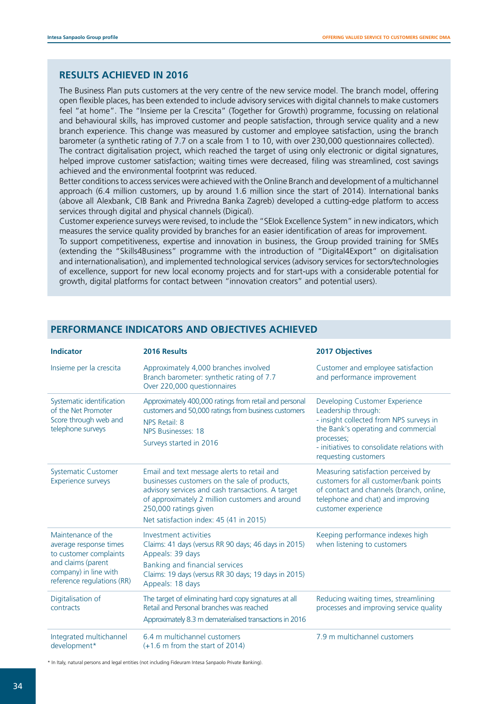### **RESULTS ACHIEVED IN 2016**

The Business Plan puts customers at the very centre of the new service model. The branch model, offering open flexible places, has been extended to include advisory services with digital channels to make customers feel "at home". The "Insieme per la Crescita" (Together for Growth) programme, focussing on relational and behavioural skills, has improved customer and people satisfaction, through service quality and a new branch experience. This change was measured by customer and employee satisfaction, using the branch barometer (a synthetic rating of 7.7 on a scale from 1 to 10, with over 230,000 questionnaires collected). The contract digitalisation project, which reached the target of using only electronic or digital signatures, helped improve customer satisfaction; waiting times were decreased, filing was streamlined, cost savings achieved and the environmental footprint was reduced.

Better conditions to access services were achieved with the Online Branch and development of a multichannel approach (6.4 million customers, up by around 1.6 million since the start of 2014). International banks (above all Alexbank, CIB Bank and Privredna Banka Zagreb) developed a cutting-edge platform to access services through digital and physical channels (Digical).

Customer experience surveys were revised, to include the "SEIok Excellence System" in new indicators, which measures the service quality provided by branches for an easier identification of areas for improvement. To support competitiveness, expertise and innovation in business, the Group provided training for SMEs (extending the "Skills4Business" programme with the introduction of "Digital4Export" on digitalisation and internationalisation), and implemented technological services (advisory services for sectors/technologies of excellence, support for new local economy projects and for start-ups with a considerable potential for growth, digital platforms for contact between "innovation creators" and potential users).

| <b>Indicator</b>                                                                                                                                    | 2016 Results                                                                                                                                                                                                                                                             | <b>2017 Objectives</b>                                                                                                                                                                                                       |
|-----------------------------------------------------------------------------------------------------------------------------------------------------|--------------------------------------------------------------------------------------------------------------------------------------------------------------------------------------------------------------------------------------------------------------------------|------------------------------------------------------------------------------------------------------------------------------------------------------------------------------------------------------------------------------|
| Insieme per la crescita                                                                                                                             | Approximately 4,000 branches involved<br>Branch barometer: synthetic rating of 7.7<br>Over 220,000 questionnaires                                                                                                                                                        | Customer and employee satisfaction<br>and performance improvement                                                                                                                                                            |
| Systematic identification<br>of the Net Promoter<br>Score through web and<br>telephone surveys                                                      | Approximately 400,000 ratings from retail and personal<br>customers and 50,000 ratings from business customers<br>NPS Retail: 8<br>NPS Businesses: 18<br>Surveys started in 2016                                                                                         | Developing Customer Experience<br>Leadership through:<br>- insight collected from NPS surveys in<br>the Bank's operating and commercial<br>processes;<br>- initiatives to consolidate relations with<br>requesting customers |
| <b>Systematic Customer</b><br><b>Experience surveys</b>                                                                                             | Email and text message alerts to retail and<br>businesses customers on the sale of products,<br>advisory services and cash transactions. A target<br>of approximately 2 million customers and around<br>250,000 ratings given<br>Net satisfaction index: 45 (41 in 2015) | Measuring satisfaction perceived by<br>customers for all customer/bank points<br>of contact and channels (branch, online,<br>telephone and chat) and improving<br>customer experience                                        |
| Maintenance of the<br>average response times<br>to customer complaints<br>and claims (parent<br>company) in line with<br>reference regulations (RR) | Investment activities<br>Claims: 41 days (versus RR 90 days; 46 days in 2015)<br>Appeals: 39 days<br>Banking and financial services<br>Claims: 19 days (versus RR 30 days; 19 days in 2015)<br>Appeals: 18 days                                                          | Keeping performance indexes high<br>when listening to customers                                                                                                                                                              |
| Digitalisation of<br>contracts                                                                                                                      | The target of eliminating hard copy signatures at all<br>Retail and Personal branches was reached<br>Approximately 8.3 m dematerialised transactions in 2016                                                                                                             | Reducing waiting times, streamlining<br>processes and improving service quality                                                                                                                                              |
| Integrated multichannel<br>development*                                                                                                             | 6.4 m multichannel customers<br>$(+1.6$ m from the start of 2014)                                                                                                                                                                                                        | 7.9 m multichannel customers                                                                                                                                                                                                 |

# **PERFORMANCE INDICATORS AND OBJECTIVES ACHIEVED**

\* In Italy, natural persons and legal entities (not including Fideuram Intesa Sanpaolo Private Banking).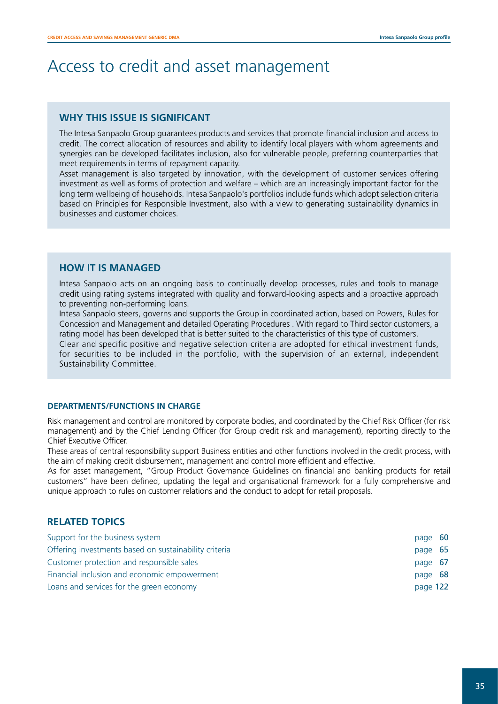# Access to credit and asset management

## **WHY THIS ISSUE IS SIGNIFICANT**

The Intesa Sanpaolo Group guarantees products and services that promote financial inclusion and access to credit. The correct allocation of resources and ability to identify local players with whom agreements and synergies can be developed facilitates inclusion, also for vulnerable people, preferring counterparties that meet requirements in terms of repayment capacity.

Asset management is also targeted by innovation, with the development of customer services offering investment as well as forms of protection and welfare – which are an increasingly important factor for the long term wellbeing of households. Intesa Sanpaolo's portfolios include funds which adopt selection criteria based on Principles for Responsible Investment, also with a view to generating sustainability dynamics in businesses and customer choices.

### **HOW IT IS MANAGED**

Intesa Sanpaolo acts on an ongoing basis to continually develop processes, rules and tools to manage credit using rating systems integrated with quality and forward-looking aspects and a proactive approach to preventing non-performing loans.

Intesa Sanpaolo steers, governs and supports the Group in coordinated action, based on Powers, Rules for Concession and Management and detailed Operating Procedures . With regard to Third sector customers, a rating model has been developed that is better suited to the characteristics of this type of customers.

Clear and specific positive and negative selection criteria are adopted for ethical investment funds, for securities to be included in the portfolio, with the supervision of an external, independent Sustainability Committee.

#### **DEPARTMENTS/FUNCTIONS IN CHARGE**

Risk management and control are monitored by corporate bodies, and coordinated by the Chief Risk Officer (for risk management) and by the Chief Lending Officer (for Group credit risk and management), reporting directly to the Chief Executive Officer.

These areas of central responsibility support Business entities and other functions involved in the credit process, with the aim of making credit disbursement, management and control more efficient and effective.

As for asset management, "Group Product Governance Guidelines on financial and banking products for retail customers" have been defined, updating the legal and organisational framework for a fully comprehensive and unique approach to rules on customer relations and the conduct to adopt for retail proposals.

## **RELATED TOPICS**

| Support for the business system                       | page 60  |  |
|-------------------------------------------------------|----------|--|
| Offering investments based on sustainability criteria | page 65  |  |
| Customer protection and responsible sales             | page 67  |  |
| Financial inclusion and economic empowerment          | page 68  |  |
| Loans and services for the green economy              | page 122 |  |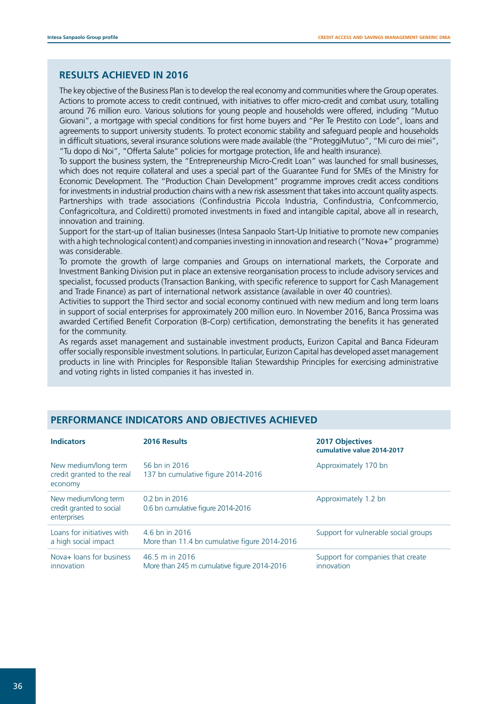### **RESULTS ACHIEVED IN 2016**

The key objective of the Business Plan is to develop the real economy and communities where the Group operates. Actions to promote access to credit continued, with initiatives to offer micro-credit and combat usury, totalling around 76 million euro. Various solutions for young people and households were offered, including "Mutuo Giovani", a mortgage with special conditions for first home buyers and "Per Te Prestito con Lode", loans and agreements to support university students. To protect economic stability and safeguard people and households in difficult situations, several insurance solutions were made available (the "ProteggiMutuo", "Mi curo dei miei", "Tu dopo di Noi", "Offerta Salute" policies for mortgage protection, life and health insurance).

To support the business system, the "Entrepreneurship Micro-Credit Loan" was launched for small businesses, which does not require collateral and uses a special part of the Guarantee Fund for SMEs of the Ministry for Economic Development. The "Production Chain Development" programme improves credit access conditions for investments in industrial production chains with a new risk assessment that takes into account quality aspects. Partnerships with trade associations (Confindustria Piccola Industria, Confindustria, Confcommercio, Confagricoltura, and Coldiretti) promoted investments in fixed and intangible capital, above all in research, innovation and training.

Support for the start-up of Italian businesses (Intesa Sanpaolo Start-Up Initiative to promote new companies with a high technological content) and companies investing in innovation and research ("Nova+" programme) was considerable.

To promote the growth of large companies and Groups on international markets, the Corporate and Investment Banking Division put in place an extensive reorganisation process to include advisory services and specialist, focussed products (Transaction Banking, with specific reference to support for Cash Management and Trade Finance) as part of international network assistance (available in over 40 countries).

Activities to support the Third sector and social economy continued with new medium and long term loans in support of social enterprises for approximately 200 million euro. In November 2016, Banca Prossima was awarded Certified Benefit Corporation (B-Corp) certification, demonstrating the benefits it has generated for the community.

As regards asset management and sustainable investment products, Eurizon Capital and Banca Fideuram offer socially responsible investment solutions. In particular, Eurizon Capital has developed asset management products in line with Principles for Responsible Italian Stewardship Principles for exercising administrative and voting rights in listed companies it has invested in.

| <b>Indicators</b>                                               | 2016 Results                                                    | <b>2017 Objectives</b><br>cumulative value 2014-2017 |
|-----------------------------------------------------------------|-----------------------------------------------------------------|------------------------------------------------------|
| New medium/long term<br>credit granted to the real<br>economy   | 56 bn in 2016<br>137 bn cumulative figure 2014-2016             | Approximately 170 bn                                 |
| New medium/long term<br>credit granted to social<br>enterprises | 0.2 bn in 2016<br>0.6 bn cumulative figure 2014-2016            | Approximately 1.2 bn                                 |
| Loans for initiatives with<br>a high social impact              | 4.6 bn in 2016<br>More than 11.4 bn cumulative figure 2014-2016 | Support for vulnerable social groups                 |
| Nova+ loans for business<br>innovation                          | 46.5 m in 2016<br>More than 245 m cumulative figure 2014-2016   | Support for companies that create<br>innovation      |

### **PERFORMANCE INDICATORS AND OBJECTIVES ACHIEVED**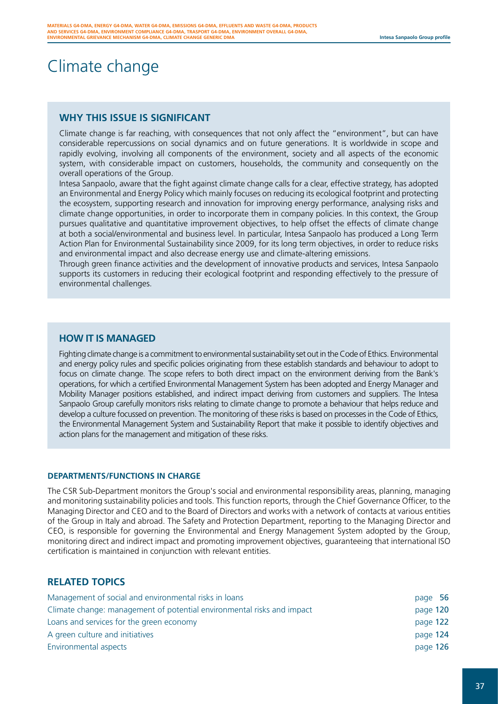# Climate change

# **WHY THIS ISSUE IS SIGNIFICANT**

Climate change is far reaching, with consequences that not only affect the "environment", but can have considerable repercussions on social dynamics and on future generations. It is worldwide in scope and rapidly evolving, involving all components of the environment, society and all aspects of the economic system, with considerable impact on customers, households, the community and consequently on the overall operations of the Group.

Intesa Sanpaolo, aware that the fight against climate change calls for a clear, effective strategy, has adopted an Environmental and Energy Policy which mainly focuses on reducing its ecological footprint and protecting the ecosystem, supporting research and innovation for improving energy performance, analysing risks and climate change opportunities, in order to incorporate them in company policies. In this context, the Group pursues qualitative and quantitative improvement objectives, to help offset the effects of climate change at both a social/environmental and business level. In particular, Intesa Sanpaolo has produced a Long Term Action Plan for Environmental Sustainability since 2009, for its long term objectives, in order to reduce risks and environmental impact and also decrease energy use and climate-altering emissions.

Through green finance activities and the development of innovative products and services, Intesa Sanpaolo supports its customers in reducing their ecological footprint and responding effectively to the pressure of environmental challenges.

## **HOW IT IS MANAGED**

Fighting climate change is a commitment to environmental sustainability set out in the Code of Ethics. Environmental and energy policy rules and specific policies originating from these establish standards and behaviour to adopt to focus on climate change. The scope refers to both direct impact on the environment deriving from the Bank's operations, for which a certified Environmental Management System has been adopted and Energy Manager and Mobility Manager positions established, and indirect impact deriving from customers and suppliers. The Intesa Sanpaolo Group carefully monitors risks relating to climate change to promote a behaviour that helps reduce and develop a culture focussed on prevention. The monitoring of these risks is based on processes in the Code of Ethics, the Environmental Management System and Sustainability Report that make it possible to identify objectives and action plans for the management and mitigation of these risks.

#### **DEPARTMENTS/FUNCTIONS IN CHARGE**

The CSR Sub-Department monitors the Group's social and environmental responsibility areas, planning, managing and monitoring sustainability policies and tools. This function reports, through the Chief Governance Officer, to the Managing Director and CEO and to the Board of Directors and works with a network of contacts at various entities of the Group in Italy and abroad. The Safety and Protection Department, reporting to the Managing Director and CEO, is responsible for governing the Environmental and Energy Management System adopted by the Group, monitoring direct and indirect impact and promoting improvement objectives, guaranteeing that international ISO certification is maintained in conjunction with relevant entities.

## **RELATED TOPICS**

| Management of social and environmental risks in loans                  | page 56  |
|------------------------------------------------------------------------|----------|
| Climate change: management of potential environmental risks and impact | page 120 |
| Loans and services for the green economy                               | page 122 |
| A green culture and initiatives                                        | page 124 |
| Environmental aspects                                                  | page 126 |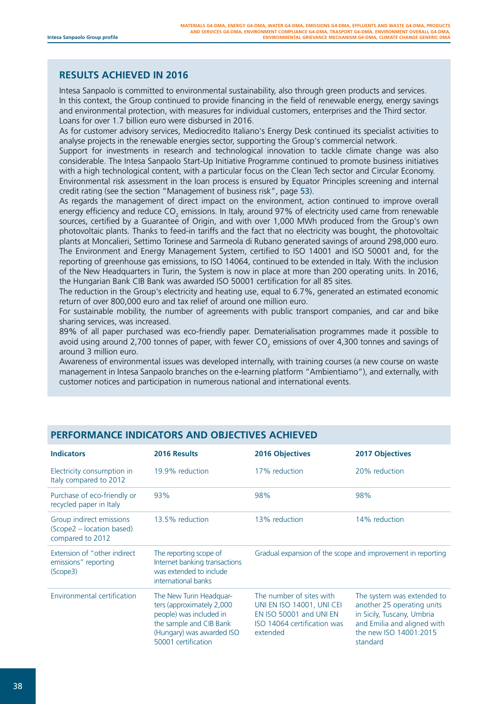# **RESULTS ACHIEVED IN 2016**

Intesa Sanpaolo is committed to environmental sustainability, also through green products and services. In this context, the Group continued to provide financing in the field of renewable energy, energy savings and environmental protection, with measures for individual customers, enterprises and the Third sector. Loans for over 1.7 billion euro were disbursed in 2016.

As for customer advisory services, Mediocredito Italiano's Energy Desk continued its specialist activities to analyse projects in the renewable energies sector, supporting the Group's commercial network.

Support for investments in research and technological innovation to tackle climate change was also considerable. The Intesa Sanpaolo Start-Up Initiative Programme continued to promote business initiatives with a high technological content, with a particular focus on the Clean Tech sector and Circular Economy. Environmental risk assessment in the loan process is ensured by Equator Principles screening and internal credit rating (see the section "Management of business risk", page 53).

As regards the management of direct impact on the environment, action continued to improve overall energy efficiency and reduce CO<sub>2</sub> emissions. In Italy, around 97% of electricity used came from renewable sources, certified by a Guarantee of Origin, and with over 1,000 MWh produced from the Group's own photovoltaic plants. Thanks to feed-in tariffs and the fact that no electricity was bought, the photovoltaic plants at Moncalieri, Settimo Torinese and Sarmeola di Rubano generated savings of around 298,000 euro. The Environment and Energy Management System, certified to ISO 14001 and ISO 50001 and, for the reporting of greenhouse gas emissions, to ISO 14064, continued to be extended in Italy. With the inclusion of the New Headquarters in Turin, the System is now in place at more than 200 operating units. In 2016, the Hungarian Bank CIB Bank was awarded ISO 50001 certification for all 85 sites.

The reduction in the Group's electricity and heating use, equal to 6.7%, generated an estimated economic return of over 800,000 euro and tax relief of around one million euro.

For sustainable mobility, the number of agreements with public transport companies, and car and bike sharing services, was increased.

89% of all paper purchased was eco-friendly paper. Dematerialisation programmes made it possible to avoid using around 2,700 tonnes of paper, with fewer CO<sub>2</sub> emissions of over 4,300 tonnes and savings of around 3 million euro.

Awareness of environmental issues was developed internally, with training courses (a new course on waste management in Intesa Sanpaolo branches on the e-learning platform "Ambientiamo"), and externally, with customer notices and participation in numerous national and international events.

| <b>Indicators</b>                                                         | 2016 Results                                                                                                                                                   | <b>2016 Objectives</b>                                                                                                      | <b>2017 Objectives</b>                                                                                                                                      |
|---------------------------------------------------------------------------|----------------------------------------------------------------------------------------------------------------------------------------------------------------|-----------------------------------------------------------------------------------------------------------------------------|-------------------------------------------------------------------------------------------------------------------------------------------------------------|
| Electricity consumption in<br>Italy compared to 2012                      | 19.9% reduction                                                                                                                                                | 17% reduction                                                                                                               | 20% reduction                                                                                                                                               |
| Purchase of eco-friendly or<br>recycled paper in Italy                    | 93%                                                                                                                                                            | 98%                                                                                                                         | 98%                                                                                                                                                         |
| Group indirect emissions<br>(Scope2 – location based)<br>compared to 2012 | 13.5% reduction                                                                                                                                                | 13% reduction                                                                                                               | 14% reduction                                                                                                                                               |
| Extension of "other indirect<br>emissions" reporting<br>(Scope3)          | The reporting scope of<br>Internet banking transactions<br>was extended to include<br>international banks                                                      | Gradual expansion of the scope and improvement in reporting                                                                 |                                                                                                                                                             |
| Environmental certification                                               | The New Turin Headquar-<br>ters (approximately 2,000<br>people) was included in<br>the sample and CIB Bank<br>(Hungary) was awarded ISO<br>50001 certification | The number of sites with<br>UNI EN ISO 14001, UNI CEI<br>EN ISO 50001 and UNI EN<br>ISO 14064 certification was<br>extended | The system was extended to<br>another 25 operating units<br>in Sicily, Tuscany, Umbria<br>and Emilia and aligned with<br>the new ISO 14001:2015<br>standard |

# **PERFORMANCE INDICATORS AND OBJECTIVES ACHIEVED**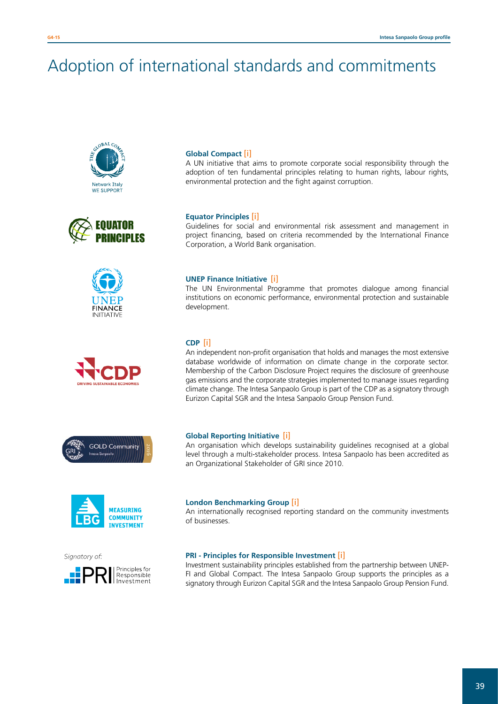# Adoption of international standards and commitments















#### **Global Compact** [\[i\]](http://www.unglobalcompact.org)

A UN initiative that aims to promote corporate social responsibility through the adoption of ten fundamental principles relating to human rights, labour rights, environmental protection and the fight against corruption.

#### **Equator Principles** [\[i\]](http://www.equator-principles.com)

Guidelines for social and environmental risk assessment and management in project financing, based on criteria recommended by the International Finance Corporation, a World Bank organisation.

#### **UNEP Finance Initiative** [\[i\]](http://www.unepfi.org)

The UN Environmental Programme that promotes dialogue among financial institutions on economic performance, environmental protection and sustainable development.

#### **CDP** [\[i\]](https://www.cdp.net/en-US/Pages/HomePage.aspx)

An independent non-profit organisation that holds and manages the most extensive database worldwide of information on climate change in the corporate sector. Membership of the Carbon Disclosure Project requires the disclosure of greenhouse gas emissions and the corporate strategies implemented to manage issues regarding climate change. The Intesa Sanpaolo Group is part of the CDP as a signatory through Eurizon Capital SGR and the Intesa Sanpaolo Group Pension Fund.

#### **Global Reporting Initiative** [\[i\]](http://www.globalreporting.org/)

An organisation which develops sustainability guidelines recognised at a global level through a multi-stakeholder process. Intesa Sanpaolo has been accredited as an Organizational Stakeholder of GRI since 2010.

#### **London Benchmarking Group** [\[i\]](http://www.lbg-online.net)

An internationally recognised reporting standard on the community investments of businesses.

#### **PRI - Principles for Responsible Investment** [\[i\]](http://www.unpri.org/)

Investment sustainability principles established from the partnership between UNEP-FI and Global Compact. The Intesa Sanpaolo Group supports the principles as a signatory through Eurizon Capital SGR and the Intesa Sanpaolo Group Pension Fund.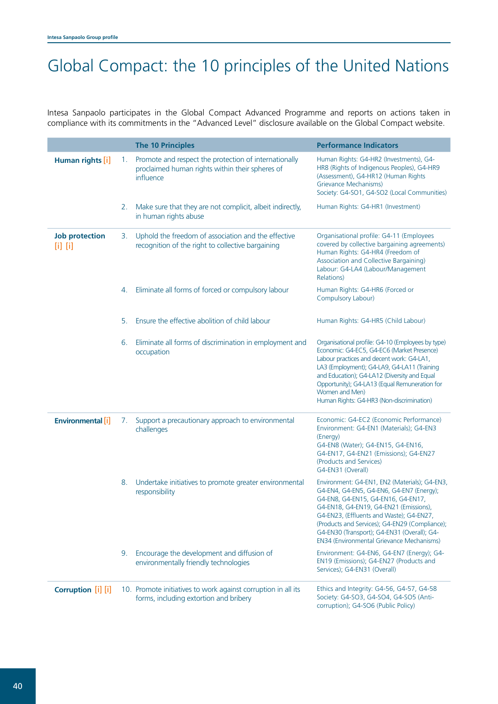# Global Compact: the 10 principles of the United Nations

Intesa Sanpaolo participates in the Global Compact Advanced Programme and reports on actions taken in compliance with its commitments in the "Advanced Level" disclosure available on the Global Compact website.

|                                      |    | <b>The 10 Principles</b>                                                                                              | <b>Performance Indicators</b>                                                                                                                                                                                                                                                                                                                                              |
|--------------------------------------|----|-----------------------------------------------------------------------------------------------------------------------|----------------------------------------------------------------------------------------------------------------------------------------------------------------------------------------------------------------------------------------------------------------------------------------------------------------------------------------------------------------------------|
| Human rights [i]                     | 1. | Promote and respect the protection of internationally<br>proclaimed human rights within their spheres of<br>influence | Human Rights: G4-HR2 (Investments), G4-<br>HR8 (Rights of Indigenous Peoples), G4-HR9<br>(Assessment), G4-HR12 (Human Rights<br>Grievance Mechanisms)<br>Society: G4-SO1, G4-SO2 (Local Communities)                                                                                                                                                                       |
|                                      | 2. | Make sure that they are not complicit, albeit indirectly,<br>in human rights abuse                                    | Human Rights: G4-HR1 (Investment)                                                                                                                                                                                                                                                                                                                                          |
| <b>Job protection</b><br>$[1]$ $[1]$ | 3. | Uphold the freedom of association and the effective<br>recognition of the right to collective bargaining              | Organisational profile: G4-11 (Employees<br>covered by collective bargaining agreements)<br>Human Rights: G4-HR4 (Freedom of<br>Association and Collective Bargaining)<br>Labour: G4-LA4 (Labour/Management<br>Relations)                                                                                                                                                  |
|                                      | 4. | Eliminate all forms of forced or compulsory labour                                                                    | Human Rights: G4-HR6 (Forced or<br>Compulsory Labour)                                                                                                                                                                                                                                                                                                                      |
|                                      | 5. | Ensure the effective abolition of child labour                                                                        | Human Rights: G4-HR5 (Child Labour)                                                                                                                                                                                                                                                                                                                                        |
|                                      | 6. | Eliminate all forms of discrimination in employment and<br>occupation                                                 | Organisational profile: G4-10 (Employees by type)<br>Economic: G4-EC5, G4-EC6 (Market Presence)<br>Labour practices and decent work: G4-LA1,<br>LA3 (Employment); G4-LA9, G4-LA11 (Training<br>and Education); G4-LA12 (Diversity and Equal<br>Opportunity); G4-LA13 (Equal Remuneration for<br>Women and Men)<br>Human Rights: G4-HR3 (Non-discrimination)                |
| <b>Environmental</b> [i]             | 7. | Support a precautionary approach to environmental<br>challenges                                                       | Economic: G4-EC2 (Economic Performance)<br>Environment: G4-EN1 (Materials); G4-EN3<br>(Energy)<br>G4-EN8 (Water); G4-EN15, G4-EN16,<br>G4-EN17, G4-EN21 (Emissions); G4-EN27<br>(Products and Services)<br>G4-EN31 (Overall)                                                                                                                                               |
|                                      | 8. | Undertake initiatives to promote greater environmental<br>responsibility                                              | Environment: G4-EN1, EN2 (Materials); G4-EN3,<br>G4-EN4, G4-EN5, G4-EN6, G4-EN7 (Energy);<br>G4-EN8, G4-EN15, G4-EN16, G4-EN17,<br>G4-EN18, G4-EN19, G4-EN21 (Emissions),<br>G4-EN23, (Effluents and Waste); G4-EN27,<br>(Products and Services); G4-EN29 (Compliance);<br>G4-EN30 (Transport); G4-EN31 (Overall); G4-<br><b>EN34 (Environmental Grievance Mechanisms)</b> |
|                                      | 9. | Encourage the development and diffusion of<br>environmentally friendly technologies                                   | Environment: G4-EN6, G4-EN7 (Energy); G4-<br>EN19 (Emissions); G4-EN27 (Products and<br>Services); G4-EN31 (Overall)                                                                                                                                                                                                                                                       |
| Corruption [i] [i]                   |    | 10. Promote initiatives to work against corruption in all its<br>forms, including extortion and bribery               | Ethics and Integrity: G4-56, G4-57, G4-58<br>Society: G4-SO3, G4-SO4, G4-SO5 (Anti-<br>corruption); G4-SO6 (Public Policy)                                                                                                                                                                                                                                                 |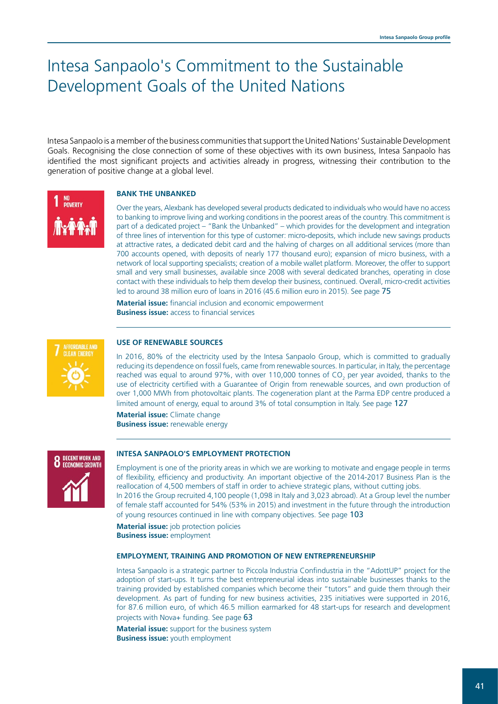# Intesa Sanpaolo's Commitment to the Sustainable Development Goals of the United Nations

Intesa Sanpaolo is a member of the business communities that support the United Nations' Sustainable Development Goals. Recognising the close connection of some of these objectives with its own business, Intesa Sanpaolo has identified the most significant projects and activities already in progress, witnessing their contribution to the generation of positive change at a global level.

#### **BANK THE UNBANKED**

Over the years, Alexbank has developed several products dedicated to individuals who would have no access to banking to improve living and working conditions in the poorest areas of the country. This commitment is part of a dedicated project – "Bank the Unbanked" – which provides for the development and integration of three lines of intervention for this type of customer: micro-deposits, which include new savings products at attractive rates, a dedicated debit card and the halving of charges on all additional services (more than 700 accounts opened, with deposits of nearly 177 thousand euro); expansion of micro business, with a network of local supporting specialists; creation of a mobile wallet platform. Moreover, the offer to support small and very small businesses, available since 2008 with several dedicated branches, operating in close contact with these individuals to help them develop their business, continued. Overall, micro-credit activities led to around 38 million euro of loans in 2016 (45.6 million euro in 2015). See page 75

**Material issue:** financial inclusion and economic empowerment **Business issue:** access to financial services



NO<br>Poverty

#### **USE OF RENEWABLE SOURCES**

In 2016, 80% of the electricity used by the Intesa Sanpaolo Group, which is committed to gradually reducing its dependence on fossil fuels, came from renewable sources. In particular, in Italy, the percentage reached was equal to around 97%, with over 110,000 tonnes of CO<sub>2</sub> per year avoided, thanks to the use of electricity certified with a Guarantee of Origin from renewable sources, and own production of over 1,000 MWh from photovoltaic plants. The cogeneration plant at the Parma EDP centre produced a limited amount of energy, equal to around 3% of total consumption in Italy. See page 127

**Material issue:** Climate change **Business issue:** renewable energy



#### **INTESA SANPAOLO'S EMPLOYMENT PROTECTION**

Employment is one of the priority areas in which we are working to motivate and engage people in terms of flexibility, efficiency and productivity. An important objective of the 2014-2017 Business Plan is the reallocation of 4,500 members of staff in order to achieve strategic plans, without cutting jobs. In 2016 the Group recruited 4,100 people (1,098 in Italy and 3,023 abroad). At a Group level the number of female staff accounted for 54% (53% in 2015) and investment in the future through the introduction of young resources continued in line with company objectives. See page 103

**Material issue:** job protection policies **Business issue:** employment

#### **EMPLOYMENT, TRAINING AND PROMOTION OF NEW ENTREPRENEURSHIP**

Intesa Sanpaolo is a strategic partner to Piccola Industria Confindustria in the "AdottUP" project for the adoption of start-ups. It turns the best entrepreneurial ideas into sustainable businesses thanks to the training provided by established companies which become their "tutors" and guide them through their development. As part of funding for new business activities, 235 initiatives were supported in 2016, for 87.6 million euro, of which 46.5 million earmarked for 48 start-ups for research and development projects with Nova+ funding. See page 63

**Material issue:** support for the business system **Business issue:** youth employment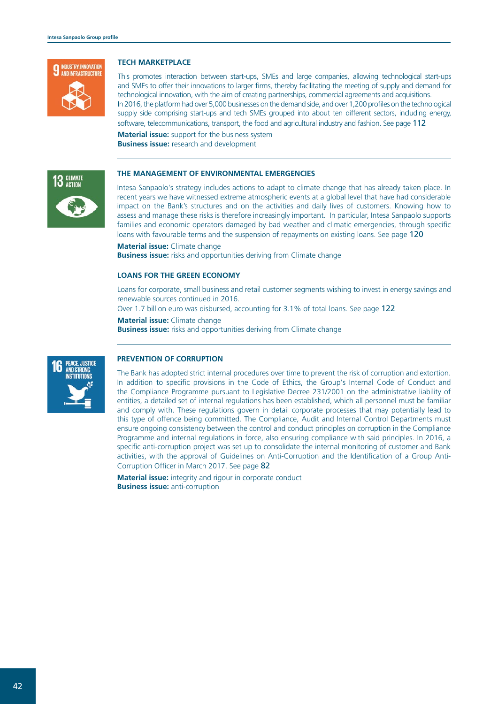

#### **TECH MARKETPLACE**

This promotes interaction between start-ups, SMEs and large companies, allowing technological start-ups and SMEs to offer their innovations to larger firms, thereby facilitating the meeting of supply and demand for technological innovation, with the aim of creating partnerships, commercial agreements and acquisitions. In 2016, the platform had over 5,000 businesses on the demand side, and over 1,200 profiles on the technological supply side comprising start-ups and tech SMEs grouped into about ten different sectors, including energy, software, telecommunications, transport, the food and agricultural industry and fashion. See page 112

**Material issue:** support for the business system **Business issue:** research and development



#### **THE MANAGEMENT OF ENVIRONMENTAL EMERGENCIES**

Intesa Sanpaolo's strategy includes actions to adapt to climate change that has already taken place. In recent years we have witnessed extreme atmospheric events at a global level that have had considerable impact on the Bank's structures and on the activities and daily lives of customers. Knowing how to assess and manage these risks is therefore increasingly important. In particular, Intesa Sanpaolo supports families and economic operators damaged by bad weather and climatic emergencies, through specific loans with favourable terms and the suspension of repayments on existing loans. See page 120

**Material issue:** Climate change

**Business issue:** risks and opportunities deriving from Climate change

#### **LOANS FOR THE GREEN ECONOMY**

Loans for corporate, small business and retail customer segments wishing to invest in energy savings and renewable sources continued in 2016.

Over 1.7 billion euro was disbursed, accounting for 3.1% of total loans. See page 122

**Material issue:** Climate change

**Business issue:** risks and opportunities deriving from Climate change



#### **PREVENTION OF CORRUPTION**

The Bank has adopted strict internal procedures over time to prevent the risk of corruption and extortion. In addition to specific provisions in the Code of Ethics, the Group's Internal Code of Conduct and the Compliance Programme pursuant to Legislative Decree 231/2001 on the administrative liability of entities, a detailed set of internal regulations has been established, which all personnel must be familiar and comply with. These regulations govern in detail corporate processes that may potentially lead to this type of offence being committed. The Compliance, Audit and Internal Control Departments must ensure ongoing consistency between the control and conduct principles on corruption in the Compliance Programme and internal regulations in force, also ensuring compliance with said principles. In 2016, a specific anti-corruption project was set up to consolidate the internal monitoring of customer and Bank activities, with the approval of Guidelines on Anti-Corruption and the Identification of a Group Anti-Corruption Officer in March 2017. See page 82

**Material issue:** integrity and rigour in corporate conduct **Business issue:** anti-corruption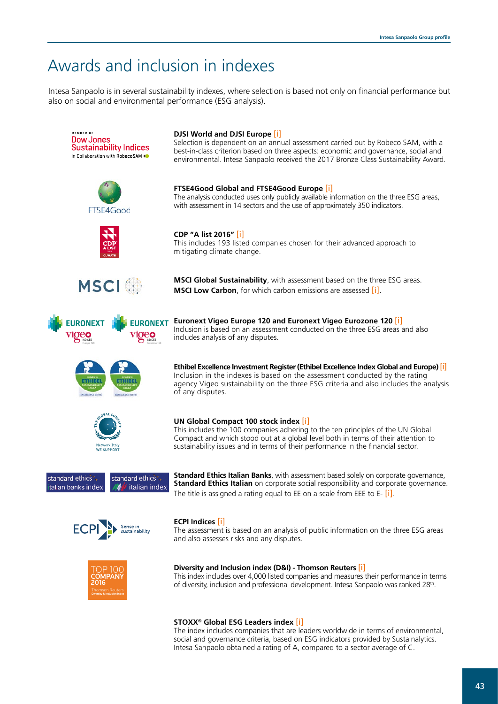# Awards and inclusion in indexes

Intesa Sanpaolo is in several sustainability indexes, where selection is based not only on financial performance but also on social and environmental performance (ESG analysis).



The index includes companies that are leaders worldwide in terms of environmental, social and governance criteria, based on ESG indicators provided by Sustainalytics. Intesa Sanpaolo obtained a rating of A, compared to a sector average of C.